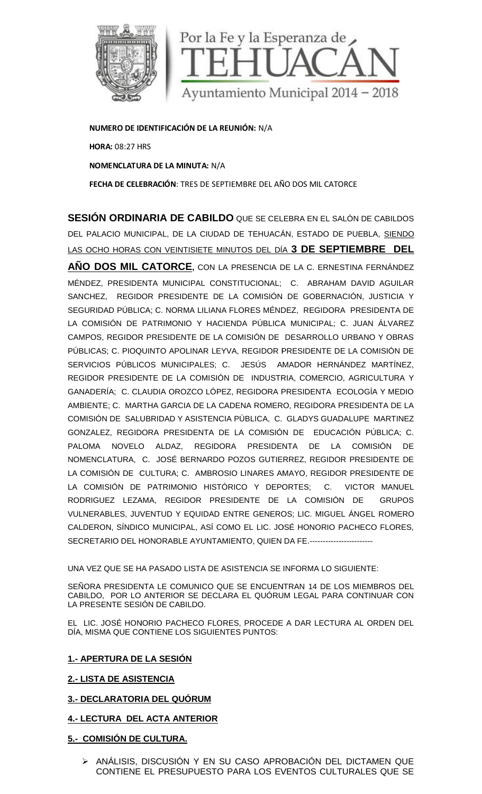

**NUMERO DE IDENTIFICACIÓN DE LA REUNIÓN:** N/A **HORA:** 08:27 HRS **NOMENCLATURA DE LA MINUTA:** N/A **FECHA DE CELEBRACIÓN**: TRES DE SEPTIEMBRE DEL AÑO DOS MIL CATORCE

**SESIÓN ORDINARIA DE CABILDO** QUE SE CELEBRA EN EL SALÓN DE CABILDOS DEL PALACIO MUNICIPAL, DE LA CIUDAD DE TEHUACÁN, ESTADO DE PUEBLA, SIENDO LAS OCHO HORAS CON VEINTISIETE MINUTOS DEL DÍA **3 DE SEPTIEMBRE DEL**

**AÑO DOS MIL CATORCE,** CON LA PRESENCIA DE LA C. ERNESTINA FERNÁNDEZ MÉNDEZ, PRESIDENTA MUNICIPAL CONSTITUCIONAL; C. ABRAHAM DAVID AGUILAR SANCHEZ, REGIDOR PRESIDENTE DE LA COMISIÓN DE GOBERNACIÓN, JUSTICIA Y SEGURIDAD PÚBLICA; C. NORMA LILIANA FLORES MÉNDEZ, REGIDORA PRESIDENTA DE LA COMISIÓN DE PATRIMONIO Y HACIENDA PÚBLICA MUNICIPAL; C. JUAN ÁLVAREZ CAMPOS, REGIDOR PRESIDENTE DE LA COMISIÓN DE DESARROLLO URBANO Y OBRAS PÚBLICAS; C. PIOQUINTO APOLINAR LEYVA, REGIDOR PRESIDENTE DE LA COMISIÓN DE SERVICIOS PÚBLICOS MUNICIPALES; C. JESÚS AMADOR HERNÁNDEZ MARTÍNEZ, REGIDOR PRESIDENTE DE LA COMISIÓN DE INDUSTRIA, COMERCIO, AGRICULTURA Y GANADERÍA; C. CLAUDIA OROZCO LÓPEZ, REGIDORA PRESIDENTA ECOLOGÍA Y MEDIO AMBIENTE; C. MARTHA GARCIA DE LA CADENA ROMERO, REGIDORA PRESIDENTA DE LA COMISIÓN DE SALUBRIDAD Y ASISTENCIA PÚBLICA, C. GLADYS GUADALUPE MARTINEZ GONZALEZ, REGIDORA PRESIDENTA DE LA COMISIÓN DE EDUCACIÓN PÚBLICA; C. PALOMA NOVELO ALDAZ, REGIDORA PRESIDENTA DE LA COMISIÓN DE NOMENCLATURA, C. JOSÉ BERNARDO POZOS GUTIERREZ, REGIDOR PRESIDENTE DE LA COMISIÓN DE CULTURA; C. AMBROSIO LINARES AMAYO, REGIDOR PRESIDENTE DE LA COMISIÓN DE PATRIMONIO HISTÓRICO Y DEPORTES; C. VICTOR MANUEL RODRIGUEZ LEZAMA, REGIDOR PRESIDENTE DE LA COMISIÓN DE GRUPOS VULNERABLES, JUVENTUD Y EQUIDAD ENTRE GENEROS; LIC. MIGUEL ÁNGEL ROMERO CALDERON, SÍNDICO MUNICIPAL, ASÍ COMO EL LIC. JOSÉ HONORIO PACHECO FLORES, SECRETARIO DEL HONORABLE AYUNTAMIENTO, QUIEN DA FE.------------------------ **RDINARIA DE CABILDO** QUE SE CELEBRA EN EL SALON<br>
MUNICIPAL, DE LA CIUDAD DE TEHUACÁN, ESTADO DE PUE<br>
MILL CATORCE, CON LA PRESENCIA DE LA C. ERNESTINA<br>
ESIDENTA MUNICIPAL CONSTITUCIONAL; C. ABRAHAM DA<br>
REGIDOR PRESIDENTE UNICIPAL, AS CONSERVAT DE CARRENTE SALEGO DE SEPTIEMBRE DE SEPTIEMBRE DE ROMENO DE CARLOS CON CHARGE CON LA PRESENCIA DE LA CONSERVATIONAL C. ERNESTINA FERNÁNDEZ<br>SIDENTA MUNICIPAL, CONSERVATIVODAL, C. ERNESTINA FERNÁNDEZ<br>S

UNA VEZ QUE SE HA PASADO LISTA DE ASISTENCIA SE INFORMA LO SIGUIENTE:

SEÑORA PRESIDENTA LE COMUNICO QUE SE ENCUENTRAN 14 DE LOS MIEMBROS DEL CABILDO, POR LO ANTERIOR SE DECLARA EL QUÓRUM LEGAL PARA CONTINUAR CON LA PRESENTE SESIÓN DE CABILDO. CABILDO, POR LO ANTERIOR SE DECLARA EL QUORUM LEGAL PARA CONTINUAR CON<br>LA PRESENTE SESIÓN DE CABILDO.<br>EL LIC. JOSÉ HONORIO PACHECO FLORES, PROCEDE A DAR LECTURA AL ORDEN DEL

DÍA, MISMA QUE CONTIENE LOS SIGUIENTES PUNTOS:

# **1.- APERTURA DE LA SESIÓN**

# **2.- LISTA DE ASISTENCIA**

# **3.- DECLARATORIA DEL QUÓRUM**

# **4.- LECTURA DEL ACTA ANTERIOR**

# **5.- COMISIÓN DE CULTURA.**

 ANÁLISIS, DISCUSIÓN Y EN SU CASO APROBACIÓN DEL DICTAMEN QUE ANALISIS, DISCUSION Y EN SU CASO APROBACION DEL DICTAMEN QUE<br>CONTIENE EL PRESUPUESTO PARA LOS EVENTOS CULTURALES QUE SE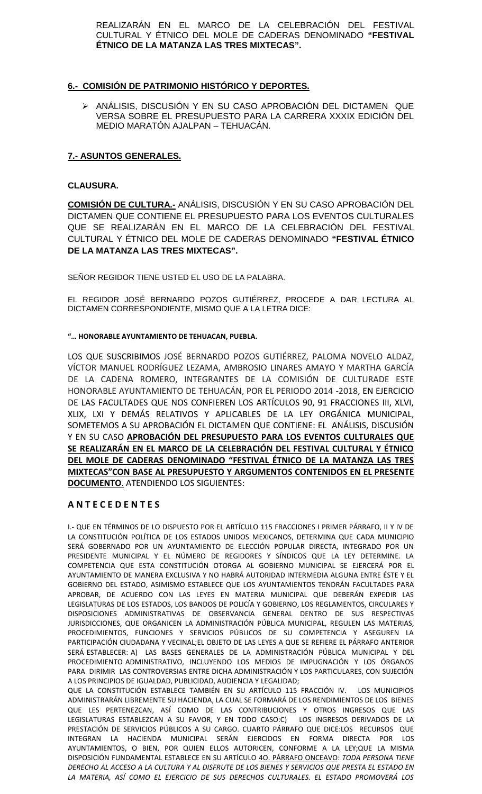REALIZARÁN EN EL MARCO DE LA CELEBRACIÓN DEL FESTIVAL CULTURAL Y ÉTNICO DEL MOLE DE CADERAS DENOMINADO **"FESTIVAL ÉTNICO DE LA MATANZA LAS TRES MIXTECAS".**

# **6.- COMISIÓN DE PATRIMONIO HISTÓRICO Y DEPORTES.**

 ANÁLISIS, DISCUSIÓN Y EN SU CASO APROBACIÓN DEL DICTAMEN QUE VERSA SOBRE EL PRESUPUESTO PARA LA CARRERA XXXIX EDICIÓN DEL MEDIO MARATÓN AJALPAN – TEHUACÁN.

## **7.- ASUNTOS GENERALES.**

### **CLAUSURA.**

**COMISIÓN DE CULTURA.-** ANÁLISIS, DISCUSIÓN Y EN SU CASO APROBACIÓN DEL DICTAMEN QUE CONTIENE EL PRESUPUESTO PARA LOS EVENTOS CULTURALES QUE SE REALIZARÁN EN EL MARCO DE LA CELEBRACIÓN DEL FESTIVAL CULTURAL Y ÉTNICO DEL MOLE DE CADERAS DENOMINADO **"FESTIVAL ÉTNICO DE LA MATANZA LAS TRES MIXTECAS".**

SEÑOR REGIDOR TIENE USTED EL USO DE LA PALABRA.

EL REGIDOR JOSÉ BERNARDO POZOS GUTIÉRREZ, PROCEDE A DAR LECTURA AL DICTAMEN CORRESPONDIENTE, MISMO QUE A LA LETRA DICE:

### **"… HONORABLE AYUNTAMIENTO DE TEHUACAN, PUEBLA.**

LOS QUE SUSCRIBIMOS JOSÉ BERNARDO POZOS GUTIÉRREZ, PALOMA NOVELO ALDAZ, VÍCTOR MANUEL RODRÍGUEZ LEZAMA, AMBROSIO LINARES AMAYO Y MARTHA GARCÍA DE LA CADENA ROMERO, INTEGRANTES DE LA COMISIÓN DE CULTURADE ESTE HONORABLE AYUNTAMIENTO DE TEHUACÁN, POR EL PERIODO 2014 -2018, EN EJERCICIO DE LAS FACULTADES QUE NOS CONFIEREN LOS ARTÍCULOS 90, 91 FRACCIONES III, XLVI, XLIX, LXI Y DEMÁS RELATIVOS Y APLICABLES DE LA LEY ORGÁNICA MUNICIPAL, SOMETEMOS A SU APROBACIÓN EL DICTAMEN QUE CONTIENE: EL ANÁLISIS, DISCUSIÓN Y EN SU CASO **APROBACIÓN DEL PRESUPUESTO PARA LOS EVENTOS CULTURALES QUE SE REALIZARÁN EN EL MARCO DE LA CELEBRACIÓN DEL FESTIVAL CULTURAL Y ÉTNICO DEL MOLE DE CADERAS DENOMINADO "FESTIVAL ÉTNICO DE LA MATANZA LAS TRES MIXTECAS"CON BASE AL PRESUPUESTO Y ARGUMENTOS CONTENIDOS EN EL PRESENTE DOCUMENTO**. ATENDIENDO LOS SIGUIENTES:

## **A N T E C E D E N T E S**

I.- QUE EN TÉRMINOS DE LO DISPUESTO POR EL ARTÍCULO 115 FRACCIONES I PRIMER PÁRRAFO, II Y IV DE LA CONSTITUCIÓN POLÍTICA DE LOS ESTADOS UNIDOS MEXICANOS, DETERMINA QUE CADA MUNICIPIO SERÁ GOBERNADO POR UN AYUNTAMIENTO DE ELECCIÓN POPULAR DIRECTA, INTEGRADO POR UN PRESIDENTE MUNICIPAL Y EL NÚMERO DE REGIDORES Y SÍNDICOS QUE LA LEY DETERMINE. LA COMPETENCIA QUE ESTA CONSTITUCIÓN OTORGA AL GOBIERNO MUNICIPAL SE EJERCERÁ POR EL AYUNTAMIENTO DE MANERA EXCLUSIVA Y NO HABRÁ AUTORIDAD INTERMEDIA ALGUNA ENTRE ÉSTE Y EL GOBIERNO DEL ESTADO, ASIMISMO ESTABLECE QUE LOS AYUNTAMIENTOS TENDRÁN FACULTADES PARA APROBAR, DE ACUERDO CON LAS LEYES EN MATERIA MUNICIPAL QUE DEBERÁN EXPEDIR LAS LEGISLATURAS DE LOS ESTADOS, LOS BANDOS DE POLICÍA Y GOBIERNO, LOS REGLAMENTOS, CIRCULARES Y DISPOSICIONES ADMINISTRATIVAS DE OBSERVANCIA GENERAL DENTRO DE SUS RESPECTIVAS JURISDICCIONES, QUE ORGANICEN LA ADMINISTRACIÓN PÚBLICA MUNICIPAL, REGULEN LAS MATERIAS, PROCEDIMIENTOS, FUNCIONES Y SERVICIOS PÚBLICOS DE SU COMPETENCIA Y ASEGUREN LA PARTICIPACIÓN CIUDADANA Y VECINAL;EL OBJETO DE LAS LEYES A QUE SE REFIERE EL PÁRRAFO ANTERIOR SERÁ ESTABLECER: A) LAS BASES GENERALES DE LA ADMINISTRACIÓN PÚBLICA MUNICIPAL Y DEL PROCEDIMIENTO ADMINISTRATIVO, INCLUYENDO LOS MEDIOS DE IMPUGNACIÓN Y LOS ÓRGANOS PARA DIRIMIR LAS CONTROVERSIAS ENTRE DICHA ADMINISTRACIÓN Y LOS PARTICULARES, CON SUJECIÓN A LOS PRINCIPIOS DE IGUALDAD, PUBLICIDAD, AUDIENCIA Y LEGALIDAD;

QUE LA CONSTITUCIÓN ESTABLECE TAMBIÉN EN SU ARTÍCULO 115 FRACCIÓN IV. LOS MUNICIPIOS ADMINISTRARÁN LIBREMENTE SU HACIENDA, LA CUAL SE FORMARÁ DE LOS RENDIMIENTOS DE LOS BIENES QUE LES PERTENEZCAN, ASÍ COMO DE LAS CONTRIBUCIONES Y OTROS INGRESOS QUE LAS LEGISLATURAS ESTABLEZCAN A SU FAVOR, Y EN TODO CASO:C) LOS INGRESOS DERIVADOS DE LA PRESTACIÓN DE SERVICIOS PÚBLICOS A SU CARGO. CUARTO PÁRRAFO QUE DICE:LOS RECURSOS QUE INTEGRAN LA HACIENDA MUNICIPAL SERÁN EJERCIDOS EN FORMA DIRECTA POR LOS AYUNTAMIENTOS, O BIEN, POR QUIEN ELLOS AUTORICEN, CONFORME A LA LEY;QUE LA MISMA DISPOSICIÓN FUNDAMENTAL ESTABLECE EN SU ARTÍCULO 4O. PÁRRAFO ONCEAVO: *TODA PERSONA TIENE DERECHO AL ACCESO A LA CULTURA Y AL DISFRUTE DE LOS BIENES Y SERVICIOS QUE PRESTA EL ESTADO EN LA MATERIA, ASÍ COMO EL EJERCICIO DE SUS DERECHOS CULTURALES. EL ESTADO PROMOVERÁ LOS*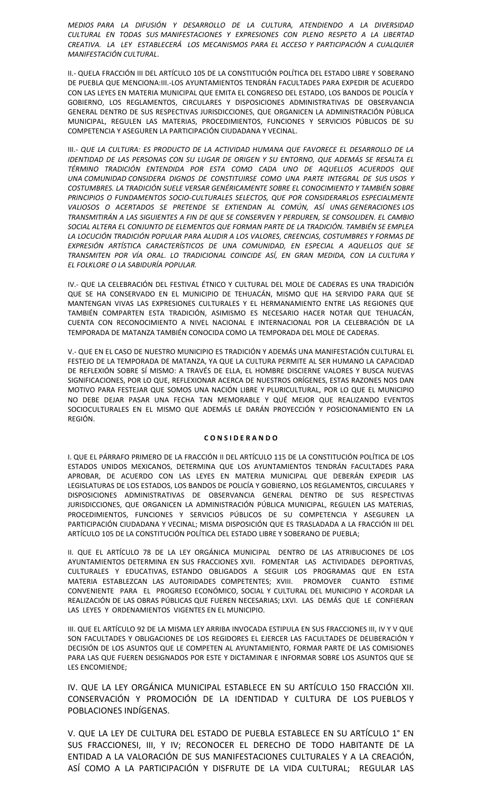*MEDIOS PARA LA DIFUSIÓN Y DESARROLLO DE LA CULTURA, ATENDIENDO A LA DIVERSIDAD CULTURAL EN TODAS SUS MANIFESTACIONES Y EXPRESIONES CON PLENO RESPETO A LA LIBERTAD CREATIVA. LA LEY ESTABLECERÁ LOS MECANISMOS PARA EL ACCESO Y PARTICIPACIÓN A CUALQUIER MANIFESTACIÓN CULTURAL*.

II.- QUELA FRACCIÓN III DEL ARTÍCULO 105 DE LA CONSTITUCIÓN POLÍTICA DEL ESTADO LIBRE Y SOBERANO DE PUEBLA QUE MENCIONA:III.-LOS AYUNTAMIENTOS TENDRÁN FACULTADES PARA EXPEDIR DE ACUERDO CON LAS LEYES EN MATERIA MUNICIPAL QUE EMITA EL CONGRESO DEL ESTADO, LOS BANDOS DE POLICÍA Y GOBIERNO, LOS REGLAMENTOS, CIRCULARES Y DISPOSICIONES ADMINISTRATIVAS DE OBSERVANCIA GENERAL DENTRO DE SUS RESPECTIVAS JURISDICCIONES, QUE ORGANICEN LA ADMINISTRACIÓN PÚBLICA MUNICIPAL, REGULEN LAS MATERIAS, PROCEDIMIENTOS, FUNCIONES Y SERVICIOS PÚBLICOS DE SU COMPETENCIA Y ASEGUREN LA PARTICIPACIÓN CIUDADANA Y VECINAL.

III.- *QUE LA CULTURA: ES PRODUCTO DE LA ACTIVIDAD HUMANA QUE FAVORECE EL DESARROLLO DE LA IDENTIDAD DE LAS PERSONAS CON SU LUGAR DE ORIGEN Y SU ENTORNO, QUE ADEMÁS SE RESALTA EL TÉRMINO TRADICIÓN ENTENDIDA POR ESTA COMO CADA UNO DE AQUELLOS ACUERDOS QUE UNA COMUNIDAD CONSIDERA DIGNOS DE CONSTITUIRSE COMO UNA PARTE INTEGRAL DE SUS USOS Y COSTUMBRES. LA TRADICIÓN SUELE VERSAR GENÉRICAMENTE SOBRE EL CONOCIMIENTO Y TAMBIÉN SOBRE PRINCIPIOS O FUNDAMENTOS SOCIO-CULTURALES SELECTOS, QUE POR CONSIDERARLOS ESPECIALMENTE VALIOSOS O ACERTADOS SE PRETENDE SE EXTIENDAN AL COMÚN, ASÍ UNAS GENERACIONES LOS TRANSMITIRÁN A LAS SIGUIENTES A FIN DE QUE SE CONSERVEN Y PERDUREN, SE CONSOLIDEN. EL CAMBIO SOCIAL ALTERA EL CONJUNTO DE ELEMENTOS QUE FORMAN PARTE DE LA TRADICIÓN. TAMBIÉN SE EMPLEA LA LOCUCIÓN TRADICIÓN POPULAR PARA ALUDIR A LOS VALORES, CREENCIAS, COSTUMBRES Y FORMAS DE EXPRESIÓN ARTÍSTICA CARACTERÍSTICOS DE UNA COMUNIDAD, EN ESPECIAL A AQUELLOS QUE SE TRANSMITEN POR VÍA ORAL. LO TRADICIONAL COINCIDE ASÍ, EN GRAN MEDIDA, CON LA CULTURA Y EL FOLKLORE O LA SABIDURÍA POPULAR.*

IV.- QUE LA CELEBRACIÓN DEL FESTIVAL ÉTNICO Y CULTURAL DEL MOLE DE CADERAS ES UNA TRADICIÓN QUE SE HA CONSERVADO EN EL MUNICIPIO DE TEHUACÁN, MISMO QUE HA SERVIDO PARA QUE SE MANTENGAN VIVAS LAS EXPRESIONES CULTURALES Y EL HERMANAMIENTO ENTRE LAS REGIONES QUE TAMBIÉN COMPARTEN ESTA TRADICIÓN, ASIMISMO ES NECESARIO HACER NOTAR QUE TEHUACÁN, CUENTA CON RECONOCIMIENTO A NIVEL NACIONAL E INTERNACIONAL POR LA CELEBRACIÓN DE LA TEMPORADA DE MATANZA TAMBIÉN CONOCIDA COMO LA TEMPORADA DEL MOLE DE CADERAS.

V.- QUE EN EL CASO DE NUESTRO MUNICIPIO ES TRADICIÓN Y ADEMÁS UNA MANIFESTACIÓN CULTURAL EL FESTEJO DE LA TEMPORADA DE MATANZA, YA QUE LA CULTURA PERMITE AL SER HUMANO LA CAPACIDAD DE REFLEXIÓN SOBRE SÍ MISMO: A TRAVÉS DE ELLA, EL HOMBRE DISCIERNE VALORES Y BUSCA NUEVAS SIGNIFICACIONES, POR LO QUE, REFLEXIONAR ACERCA DE NUESTROS ORÍGENES, ESTAS RAZONES NOS DAN MOTIVO PARA FESTEJAR QUE SOMOS UNA NACIÓN LIBRE Y PLURICULTURAL, POR LO QUE EL MUNICIPIO NO DEBE DEJAR PASAR UNA FECHA TAN MEMORABLE Y QUÉ MEJOR QUE REALIZANDO EVENTOS SOCIOCULTURALES EN EL MISMO QUE ADEMÁS LE DARÁN PROYECCIÓN Y POSICIONAMIENTO EN LA REGIÓN.

#### **C O N S I D E R A N D O**

I. QUE EL PÁRRAFO PRIMERO DE LA FRACCIÓN II DEL ARTÍCULO 115 DE LA CONSTITUCIÓN POLÍTICA DE LOS ESTADOS UNIDOS MEXICANOS, DETERMINA QUE LOS AYUNTAMIENTOS TENDRÁN FACULTADES PARA APROBAR, DE ACUERDO CON LAS LEYES EN MATERIA MUNICIPAL QUE DEBERÁN EXPEDIR LAS LEGISLATURAS DE LOS ESTADOS, LOS BANDOS DE POLICÍA Y GOBIERNO, LOS REGLAMENTOS, CIRCULARES Y DISPOSICIONES ADMINISTRATIVAS DE OBSERVANCIA GENERAL DENTRO DE SUS RESPECTIVAS JURISDICCIONES, QUE ORGANICEN LA ADMINISTRACIÓN PÚBLICA MUNICIPAL, REGULEN LAS MATERIAS, PROCEDIMIENTOS, FUNCIONES Y SERVICIOS PÚBLICOS DE SU COMPETENCIA Y ASEGUREN LA PARTICIPACIÓN CIUDADANA Y VECINAL; MISMA DISPOSICIÓN QUE ES TRASLADADA A LA FRACCIÓN III DEL ARTÍCULO 105 DE LA CONSTITUCIÓN POLÍTICA DEL ESTADO LIBRE Y SOBERANO DE PUEBLA;

II. QUE EL ARTÍCULO 78 DE LA LEY ORGÁNICA MUNICIPAL DENTRO DE LAS ATRIBUCIONES DE LOS AYUNTAMIENTOS DETERMINA EN SUS FRACCIONES XVII. FOMENTAR LAS ACTIVIDADES DEPORTIVAS, CULTURALES Y EDUCATIVAS, ESTANDO OBLIGADOS A SEGUIR LOS PROGRAMAS QUE EN ESTA MATERIA ESTABLEZCAN LAS AUTORIDADES COMPETENTES; XVIII. PROMOVER CUANTO ESTIME CONVENIENTE PARA EL PROGRESO ECONÓMICO, SOCIAL Y CULTURAL DEL MUNICIPIO Y ACORDAR LA REALIZACIÓN DE LAS OBRAS PÚBLICAS QUE FUEREN NECESARIAS; LXVI. LAS DEMÁS QUE LE CONFIERAN LAS LEYES Y ORDENAMIENTOS VIGENTES EN EL MUNICIPIO.

III. QUE EL ARTÍCULO 92 DE LA MISMA LEY ARRIBA INVOCADA ESTIPULA EN SUS FRACCIONES III, IV Y V QUE SON FACULTADES Y OBLIGACIONES DE LOS REGIDORES EL EJERCER LAS FACULTADES DE DELIBERACIÓN Y DECISIÓN DE LOS ASUNTOS QUE LE COMPETEN AL AYUNTAMIENTO, FORMAR PARTE DE LAS COMISIONES PARA LAS QUE FUEREN DESIGNADOS POR ESTE Y DICTAMINAR E INFORMAR SOBRE LOS ASUNTOS QUE SE LES ENCOMIENDE;

IV. QUE LA LEY ORGÁNICA MUNICIPAL ESTABLECE EN SU ARTÍCULO 150 FRACCIÓN XII. CONSERVACIÓN Y PROMOCIÓN DE LA IDENTIDAD Y CULTURA DE LOS PUEBLOS Y POBLACIONES INDÍGENAS.

V. QUE LA LEY DE CULTURA DEL ESTADO DE PUEBLA ESTABLECE EN SU ARTÍCULO 1° EN SUS FRACCIONESI, III, Y IV; RECONOCER EL DERECHO DE TODO HABITANTE DE LA ENTIDAD A LA VALORACIÓN DE SUS MANIFESTACIONES CULTURALES Y A LA CREACIÓN, ASÍ COMO A LA PARTICIPACIÓN Y DISFRUTE DE LA VIDA CULTURAL; REGULAR LAS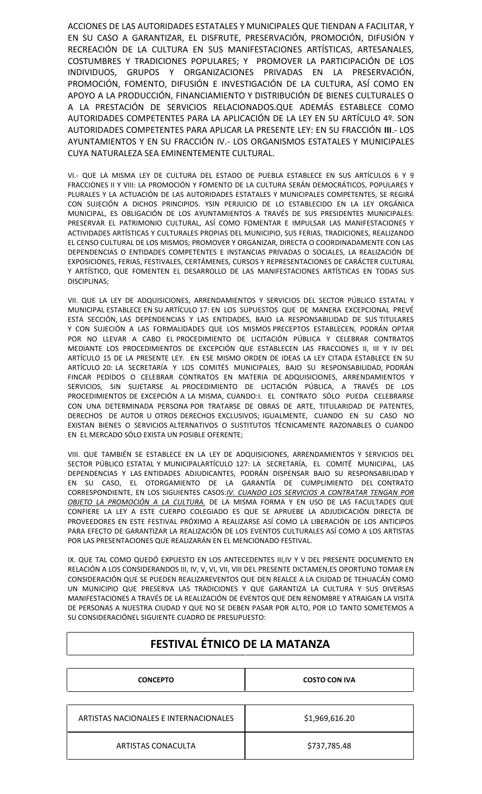ACCIONES DE LAS AUTORIDADES ESTATALES Y MUNICIPALES QUE TIENDAN A FACILITAR, Y EN SU CASO A GARANTIZAR, EL DISFRUTE, PRESERVACIÓN, PROMOCIÓN, DIFUSIÓN Y RECREACIÓN DE LA CULTURA EN SUS MANIFESTACIONES ARTÍSTICAS, ARTESANALES, COSTUMBRES Y TRADICIONES POPULARES; Y PROMOVER LA PARTICIPACIÓN DE LOS INDIVIDUOS, GRUPOS Y ORGANIZACIONES PRIVADAS EN LA PRESERVACIÓN, PROMOCIÓN, FOMENTO, DIFUSIÓN E INVESTIGACIÓN DE LA CULTURA, ASÍ COMO EN APOYO A LA PRODUCCIÓN, FINANCIAMIENTO Y DISTRIBUCIÓN DE BIENES CULTURALES O A LA PRESTACIÓN DE SERVICIOS RELACIONADOS.QUE ADEMÁS ESTABLECE COMO AUTORIDADES COMPETENTES PARA LA APLICACIÓN DE LA LEY EN SU ARTÍCULO 4º. SON AUTORIDADES COMPETENTES PARA APLICAR LA PRESENTE LEY: EN SU FRACCIÓN **III**.- LOS AYUNTAMIENTOS Y EN SU FRACCIÓN IV.- LOS ORGANISMOS ESTATALES Y MUNICIPALES CUYA NATURALEZA SEA EMINENTEMENTE CULTURAL.

VI.- QUE LA MISMA LEY DE CULTURA DEL ESTADO DE PUEBLA ESTABLECE EN SUS ARTÍCULOS 6 Y 9 FRACCIONES II Y VIII: LA PROMOCIÓN Y FOMENTO DE LA CULTURA SERÁN DEMOCRÁTICOS, POPULARES Y PLURALES Y LA ACTUACIÓN DE LAS AUTORIDADES ESTATALES Y MUNICIPALES COMPETENTES, SE REGIRÁ CON SUJECIÓN A DICHOS PRINCIPIOS. YSIN PERJUICIO DE LO ESTABLECIDO EN LA LEY ORGÁNICA MUNICIPAL, ES OBLIGACIÓN DE LOS AYUNTAMIENTOS A TRAVÉS DE SUS PRESIDENTES MUNICIPALES: PRESERVAR EL PATRIMONIO CULTURAL, ASÍ COMO FOMENTAR E IMPULSAR LAS MANIFESTACIONES Y ACTIVIDADES ARTÍSTICAS Y CULTURALES PROPIAS DEL MUNICIPIO, SUS FERIAS, TRADICIONES, REALIZANDO EL CENSO CULTURAL DE LOS MISMOS; PROMOVER Y ORGANIZAR, DIRECTA O COORDINADAMENTE CON LAS DEPENDENCIAS O ENTIDADES COMPETENTES E INSTANCIAS PRIVADAS O SOCIALES, LA REALIZACIÓN DE EXPOSICIONES, FERIAS, FESTIVALES, CERTÁMENES, CURSOS Y REPRESENTACIONES DE CARÁCTER CULTURAL Y ARTÍSTICO, QUE FOMENTEN EL DESARROLLO DE LAS MANIFESTACIONES ARTÍSTICAS EN TODAS SUS DISCIPLINAS;

VII. QUE LA LEY DE ADQUISICIONES, ARRENDAMIENTOS Y SERVICIOS DEL SECTOR PÚBLICO ESTATAL Y MUNICIPAL ESTABLECE EN SU ARTÍCULO 17: EN LOS SUPUESTOS QUE DE MANERA EXCEPCIONAL PREVÉ ESTA SECCIÓN, LAS DEPENDENCIAS Y LAS ENTIDADES, BAJO LA RESPONSABILIDAD DE SUS TITULARES Y CON SUJECIÓN A LAS FORMALIDADES QUE LOS MISMOS PRECEPTOS ESTABLECEN, PODRÁN OPTAR POR NO LLEVAR A CABO EL PROCEDIMIENTO DE LICITACIÓN PÚBLICA Y CELEBRAR CONTRATOS MEDIANTE LOS PROCEDIMIENTOS DE EXCEPCIÓN QUE ESTABLECEN LAS FRACCIONES II, III Y IV DEL ARTÍCULO 15 DE LA PRESENTE LEY. EN ESE MISMO ORDEN DE IDEAS LA LEY CITADA ESTABLECE EN SU ARTÍCULO 20: LA SECRETARÍA Y LOS COMITÉS MUNICIPALES, BAJO SU RESPONSABILIDAD, PODRÁN FINCAR PEDIDOS O CELEBRAR CONTRATOS EN MATERIA DE ADQUISICIONES, ARRENDAMIENTOS Y SERVICIOS, SIN SUJETARSE AL PROCEDIMIENTO DE LICITACIÓN PÚBLICA, A TRAVÉS DE LOS PROCEDIMIENTOS DE EXCEPCIÓN A LA MISMA, CUANDO:I. EL CONTRATO SÓLO PUEDA CELEBRARSE CON UNA DETERMINADA PERSONA POR TRATARSE DE OBRAS DE ARTE, TITULARIDAD DE PATENTES, DERECHOS DE AUTOR U OTROS DERECHOS EXCLUSIVOS; IGUALMENTE, CUANDO EN SU CASO NO EXISTAN BIENES O SERVICIOS ALTERNATIVOS O SUSTITUTOS TÉCNICAMENTE RAZONABLES O CUANDO EN EL MERCADO SÓLO EXISTA UN POSIBLE OFERENTE;

VIII. QUE TAMBIÉN SE ESTABLECE EN LA LEY DE ADQUISICIONES, ARRENDAMIENTOS Y SERVICIOS DEL SECTOR PÚBLICO ESTATAL Y MUNICIPALARTÍCULO 127: LA SECRETARÍA, EL COMITÉ MUNICIPAL, LAS DEPENDENCIAS Y LAS ENTIDADES ADJUDICANTES, PODRÁN DISPENSAR BAJO SU RESPONSABILIDAD Y EN SU CASO, EL OTORGAMIENTO DE LA GARANTÍA DE CUMPLIMIENTO DEL CONTRATO CORRESPONDIENTE, EN LOS SIGUIENTES CASOS:*IV. CUANDO LOS SERVICIOS A CONTRATAR TENGAN POR OBJETO LA PROMOCIÓN A LA CULTURA.* DE LA MISMA FORMA Y EN USO DE LAS FACULTADES QUE CONFIERE LA LEY A ESTE CUERPO COLEGIADO ES QUE SE APRUEBE LA ADJUDICACIÓN DIRECTA DE PROVEEDORES EN ESTE FESTIVAL PRÓXIMO A REALIZARSE ASÍ COMO LA LIBERACIÓN DE LOS ANTICIPOS PARA EFECTO DE GARANTIZAR LA REALIZACIÓN DE LOS EVENTOS CULTURALES ASÍ COMO A LOS ARTISTAS POR LAS PRESENTACIONES QUE REALIZARÁN EN EL MENCIONADO FESTIVAL.

IX. QUE TAL COMO QUEDÓ EXPUESTO EN LOS ANTECEDENTES III,IV Y V DEL PRESENTE DOCUMENTO EN RELACIÓN A LOS CONSIDERANDOS III, IV, V, VI, VII, VIII DEL PRESENTE DICTAMEN,ES OPORTUNO TOMAR EN CONSIDERACIÓN QUE SE PUEDEN REALIZAREVENTOS QUE DEN REALCE A LA CIUDAD DE TEHUACÁN COMO UN MUNICIPIO QUE PRESERVA LAS TRADICIONES Y QUE GARANTIZA LA CULTURA Y SUS DIVERSAS MANIFESTACIONES A TRAVÉS DE LA REALIZACIÓN DE EVENTOS QUE DEN RENOMBRE Y ATRAIGAN LA VISITA DE PERSONAS A NUESTRA CIUDAD Y QUE NO SE DEBEN PASAR POR ALTO, POR LO TANTO SOMETEMOS A SU CONSIDERACIÓNEL SIGUIENTE CUADRO DE PRESUPUESTO:

| <b>CONCEPTO</b>                       | <b>COSTO CON IVA</b> |  |
|---------------------------------------|----------------------|--|
|                                       |                      |  |
| ARTISTAS NACIONALES E INTERNACIONALES | \$1,969,616.20       |  |
| ARTISTAS CONACULTA                    | \$737,785.48         |  |

# **FESTIVAL ÉTNICO DE LA MATANZA**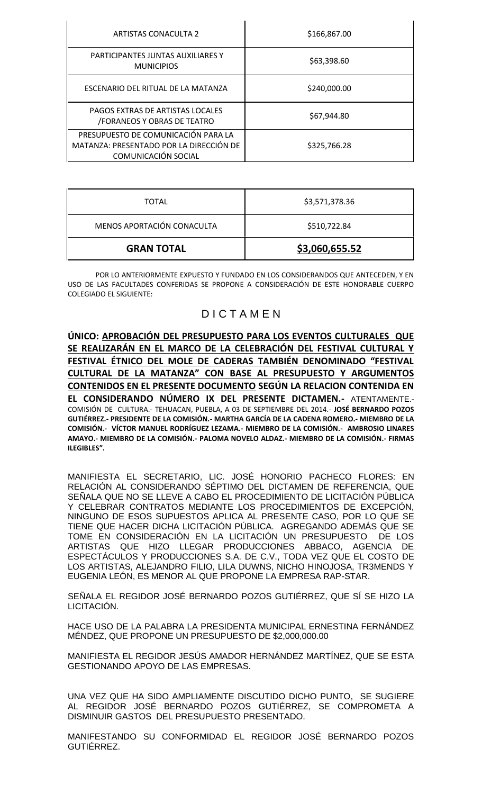| <b>ARTISTAS CONACULTA 2</b>                                                                           | \$166,867.00 |  |
|-------------------------------------------------------------------------------------------------------|--------------|--|
| PARTICIPANTES JUNTAS AUXILIARES Y<br><b>MUNICIPIOS</b>                                                | \$63,398.60  |  |
| ESCENARIO DEL RITUAL DE LA MATANZA                                                                    | \$240,000.00 |  |
| <b>PAGOS EXTRAS DE ARTISTAS LOCALES</b><br><b>/FORANEOS Y OBRAS DE TEATRO</b>                         | \$67,944.80  |  |
| PRESUPUESTO DE COMUNICACIÓN PARA LA<br>MATANZA: PRESENTADO POR LA DIRECCIÓN DE<br>COMUNICACIÓN SOCIAL | \$325,766.28 |  |

| <b>TOTAL</b>               | \$3,571,378.36 |
|----------------------------|----------------|
| MENOS APORTACIÓN CONACULTA | \$510,722.84   |
| <b>GRAN TOTAL</b>          | \$3,060,655.52 |

POR LO ANTERIORMENTE EXPUESTO Y FUNDADO EN LOS CONSIDERANDOS QUE ANTECEDEN, Y EN USO DE LAS FACULTADES CONFERIDAS SE PROPONE A CONSIDERACIÓN DE ESTE HONORABLE CUERPO COLEGIADO EL SIGUIENTE:

# D I C T A M E N

**ÚNICO: APROBACIÓN DEL PRESUPUESTO PARA LOS EVENTOS CULTURALES QUE SE REALIZARÁN EN EL MARCO DE LA CELEBRACIÓN DEL FESTIVAL CULTURAL Y FESTIVAL ÉTNICO DEL MOLE DE CADERAS TAMBIÉN DENOMINADO "FESTIVAL CULTURAL DE LA MATANZA" CON BASE AL PRESUPUESTO Y ARGUMENTOS CONTENIDOS EN EL PRESENTE DOCUMENTO SEGÚN LA RELACION CONTENIDA EN EL CONSIDERANDO NÚMERO IX DEL PRESENTE DICTAMEN.-** ATENTAMENTE.- COMISIÓN DE CULTURA.- TEHUACAN, PUEBLA, A 03 DE SEPTIEMBRE DEL 2014.- **JOSÉ BERNARDO POZOS GUTIÉRREZ.- PRESIDENTE DE LA COMISIÓN.- MARTHA GARCÍA DE LA CADENA ROMERO.- MIEMBRO DE LA COMISIÓN.- VÍCTOR MANUEL RODRÍGUEZ LEZAMA.- MIEMBRO DE LA COMISIÓN.- AMBROSIO LINARES AMAYO.- MIEMBRO DE LA COMISIÓN.- PALOMA NOVELO ALDAZ.- MIEMBRO DE LA COMISIÓN.- FIRMAS ILEGIBLES".**

MANIFIESTA EL SECRETARIO, LIC. JOSÉ HONORIO PACHECO FLORES: EN RELACIÓN AL CONSIDERANDO SÉPTIMO DEL DICTAMEN DE REFERENCIA, QUE SEÑALA QUE NO SE LLEVE A CABO EL PROCEDIMIENTO DE LICITACIÓN PÚBLICA Y CELEBRAR CONTRATOS MEDIANTE LOS PROCEDIMIENTOS DE EXCEPCIÓN, NINGUNO DE ESOS SUPUESTOS APLICA AL PRESENTE CASO, POR LO QUE SE TIENE QUE HACER DICHA LICITACIÓN PÚBLICA. AGREGANDO ADEMÁS QUE SE TOME EN CONSIDERACIÓN EN LA LICITACIÓN UN PRESUPUESTO DE LOS ARTISTAS QUE HIZO LLEGAR PRODUCCIONES ABBACO, AGENCIA DE ESPECTÁCULOS Y PRODUCCIONES S.A. DE C.V., TODA VEZ QUE EL COSTO DE LOS ARTISTAS, ALEJANDRO FILIO, LILA DUWNS, NICHO HINOJOSA, TR3MENDS Y EUGENIA LEÓN, ES MENOR AL QUE PROPONE LA EMPRESA RAP-STAR.

SEÑALA EL REGIDOR JOSÉ BERNARDO POZOS GUTIÉRREZ, QUE SÍ SE HIZO LA LICITACIÓN.

HACE USO DE LA PALABRA LA PRESIDENTA MUNICIPAL ERNESTINA FERNÁNDEZ MÉNDEZ, QUE PROPONE UN PRESUPUESTO DE \$2,000,000.00

MANIFIESTA EL REGIDOR JESÚS AMADOR HERNÁNDEZ MARTÍNEZ, QUE SE ESTA GESTIONANDO APOYO DE LAS EMPRESAS.

UNA VEZ QUE HA SIDO AMPLIAMENTE DISCUTIDO DICHO PUNTO, SE SUGIERE AL REGIDOR JOSÉ BERNARDO POZOS GUTIÉRREZ, SE COMPROMETA A DISMINUIR GASTOS DEL PRESUPUESTO PRESENTADO.

MANIFESTANDO SU CONFORMIDAD EL REGIDOR JOSÉ BERNARDO POZOS GUTIÉRREZ.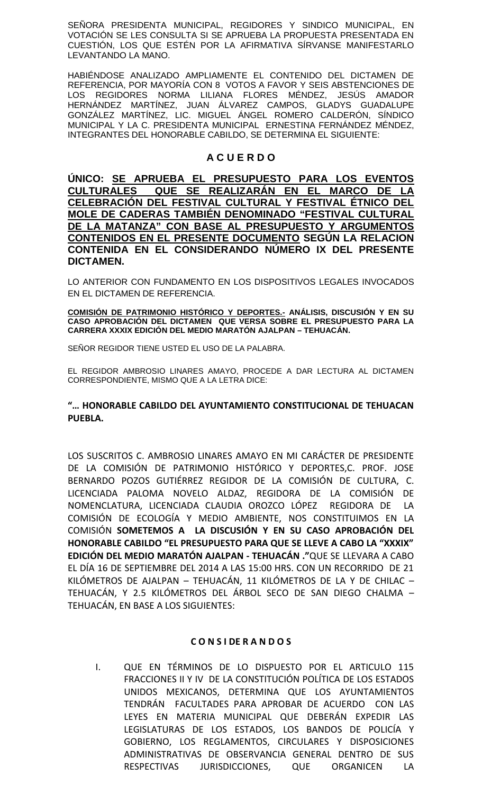SEÑORA PRESIDENTA MUNICIPAL, REGIDORES Y SINDICO MUNICIPAL, EN VOTACIÓN SE LES CONSULTA SI SE APRUEBA LA PROPUESTA PRESENTADA EN CUESTIÓN, LOS QUE ESTÉN POR LA AFIRMATIVA SÍRVANSE MANIFESTARLO LEVANTANDO LA MANO.

HABIÉNDOSE ANALIZADO AMPLIAMENTE EL CONTENIDO DEL DICTAMEN DE REFERENCIA, POR MAYORÍA CON 8 VOTOS A FAVOR Y SEIS ABSTENCIONES DE LOS REGIDORES NORMA LILIANA FLORES MÉNDEZ, JESÚS AMADOR HERNÁNDEZ MARTÍNEZ, JUAN ÁLVAREZ CAMPOS, GLADYS GUADALUPE GONZÁLEZ MARTÍNEZ, LIC. MIGUEL ÁNGEL ROMERO CALDERÓN, SÍNDICO MUNICIPAL Y LA C. PRESIDENTA MUNICIPAL ERNESTINA FERNÁNDEZ MÉNDEZ, INTEGRANTES DEL HONORABLE CABILDO, SE DETERMINA EL SIGUIENTE:

# **A C U E R D O**

**ÚNICO: SE APRUEBA EL PRESUPUESTO PARA LOS EVENTOS CULTURALES QUE SE REALIZARÁN EN EL MARCO DE LA CELEBRACIÓN DEL FESTIVAL CULTURAL Y FESTIVAL ÉTNICO DEL MOLE DE CADERAS TAMBIÉN DENOMINADO "FESTIVAL CULTURAL DE LA MATANZA" CON BASE AL PRESUPUESTO Y ARGUMENTOS CONTENIDOS EN EL PRESENTE DOCUMENTO SEGÚN LA RELACION CONTENIDA EN EL CONSIDERANDO NÚMERO IX DEL PRESENTE DICTAMEN.**

LO ANTERIOR CON FUNDAMENTO EN LOS DISPOSITIVOS LEGALES INVOCADOS EN EL DICTAMEN DE REFERENCIA.

**COMISIÓN DE PATRIMONIO HISTÓRICO Y DEPORTES.- ANÁLISIS, DISCUSIÓN Y EN SU CASO APROBACIÓN DEL DICTAMEN QUE VERSA SOBRE EL PRESUPUESTO PARA LA CARRERA XXXIX EDICIÓN DEL MEDIO MARATÓN AJALPAN – TEHUACÁN.**

SEÑOR REGIDOR TIENE USTED EL USO DE LA PALABRA.

EL REGIDOR AMBROSIO LINARES AMAYO, PROCEDE A DAR LECTURA AL DICTAMEN CORRESPONDIENTE, MISMO QUE A LA LETRA DICE:

# **"… HONORABLE CABILDO DEL AYUNTAMIENTO CONSTITUCIONAL DE TEHUACAN PUEBLA.**

LOS SUSCRITOS C. AMBROSIO LINARES AMAYO EN MI CARÁCTER DE PRESIDENTE DE LA COMISIÓN DE PATRIMONIO HISTÓRICO Y DEPORTES,C. PROF. JOSE BERNARDO POZOS GUTIÉRREZ REGIDOR DE LA COMISIÓN DE CULTURA, C. LICENCIADA PALOMA NOVELO ALDAZ, REGIDORA DE LA COMISIÓN DE NOMENCLATURA, LICENCIADA CLAUDIA OROZCO LÓPEZ REGIDORA DE LA COMISIÓN DE ECOLOGÍA Y MEDIO AMBIENTE, NOS CONSTITUIMOS EN LA COMISIÓN **SOMETEMOS A LA DISCUSIÓN Y EN SU CASO APROBACIÓN DEL HONORABLE CABILDO "EL PRESUPUESTO PARA QUE SE LLEVE A CABO LA "XXXIX" EDICIÓN DEL MEDIO MARATÓN AJALPAN - TEHUACÁN ."**QUE SE LLEVARA A CABO EL DÍA 16 DE SEPTIEMBRE DEL 2014 A LAS 15:00 HRS. CON UN RECORRIDO DE 21 KILÓMETROS DE AJALPAN – TEHUACÁN, 11 KILÓMETROS DE LA Y DE CHILAC – TEHUACÁN, Y 2.5 KILÓMETROS DEL ÁRBOL SECO DE SAN DIEGO CHALMA – TEHUACÁN, EN BASE A LOS SIGUIENTES:

## **C O N S I DE R A N D O S**

I. QUE EN TÉRMINOS DE LO DISPUESTO POR EL ARTICULO 115 FRACCIONES II Y IV DE LA CONSTITUCIÓN POLÍTICA DE LOS ESTADOS UNIDOS MEXICANOS, DETERMINA QUE LOS AYUNTAMIENTOS TENDRÁN FACULTADES PARA APROBAR DE ACUERDO CON LAS LEYES EN MATERIA MUNICIPAL QUE DEBERÁN EXPEDIR LAS LEGISLATURAS DE LOS ESTADOS, LOS BANDOS DE POLICÍA Y GOBIERNO, LOS REGLAMENTOS, CIRCULARES Y DISPOSICIONES ADMINISTRATIVAS DE OBSERVANCIA GENERAL DENTRO DE SUS RESPECTIVAS JURISDICCIONES, QUE ORGANICEN LA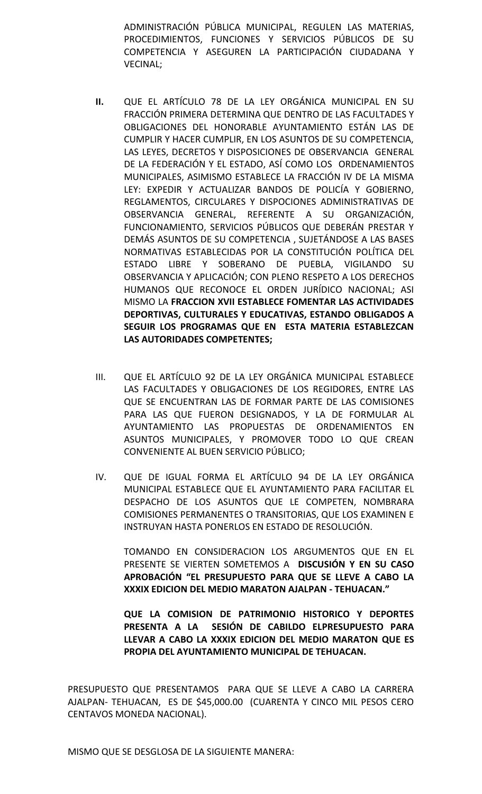ADMINISTRACIÓN PÚBLICA MUNICIPAL, REGULEN LAS MATERIAS, PROCEDIMIENTOS, FUNCIONES Y SERVICIOS PÚBLICOS DE SU COMPETENCIA Y ASEGUREN LA PARTICIPACIÓN CIUDADANA Y VECINAL;

- **II.** QUE EL ARTÍCULO 78 DE LA LEY ORGÁNICA MUNICIPAL EN SU FRACCIÓN PRIMERA DETERMINA QUE DENTRO DE LAS FACULTADES Y OBLIGACIONES DEL HONORABLE AYUNTAMIENTO ESTÁN LAS DE CUMPLIR Y HACER CUMPLIR, EN LOS ASUNTOS DE SU COMPETENCIA, LAS LEYES, DECRETOS Y DISPOSICIONES DE OBSERVANCIA GENERAL DE LA FEDERACIÓN Y EL ESTADO, ASÍ COMO LOS ORDENAMIENTOS MUNICIPALES, ASIMISMO ESTABLECE LA FRACCIÓN IV DE LA MISMA LEY: EXPEDIR Y ACTUALIZAR BANDOS DE POLICÍA Y GOBIERNO, REGLAMENTOS, CIRCULARES Y DISPOCIONES ADMINISTRATIVAS DE OBSERVANCIA GENERAL, REFERENTE A SU ORGANIZACIÓN, FUNCIONAMIENTO, SERVICIOS PÚBLICOS QUE DEBERÁN PRESTAR Y DEMÁS ASUNTOS DE SU COMPETENCIA , SUJETÁNDOSE A LAS BASES NORMATIVAS ESTABLECIDAS POR LA CONSTITUCIÓN POLÍTICA DEL ESTADO LIBRE Y SOBERANO DE PUEBLA, VIGILANDO SU OBSERVANCIA Y APLICACIÓN; CON PLENO RESPETO A LOS DERECHOS HUMANOS QUE RECONOCE EL ORDEN JURÍDICO NACIONAL; ASI MISMO LA **FRACCION XVII ESTABLECE FOMENTAR LAS ACTIVIDADES DEPORTIVAS, CULTURALES Y EDUCATIVAS, ESTANDO OBLIGADOS A SEGUIR LOS PROGRAMAS QUE EN ESTA MATERIA ESTABLEZCAN LAS AUTORIDADES COMPETENTES;**
- III. QUE EL ARTÍCULO 92 DE LA LEY ORGÁNICA MUNICIPAL ESTABLECE LAS FACULTADES Y OBLIGACIONES DE LOS REGIDORES, ENTRE LAS QUE SE ENCUENTRAN LAS DE FORMAR PARTE DE LAS COMISIONES PARA LAS QUE FUERON DESIGNADOS, Y LA DE FORMULAR AL AYUNTAMIENTO LAS PROPUESTAS DE ORDENAMIENTOS EN ASUNTOS MUNICIPALES, Y PROMOVER TODO LO QUE CREAN CONVENIENTE AL BUEN SERVICIO PÚBLICO;
- IV. QUE DE IGUAL FORMA EL ARTÍCULO 94 DE LA LEY ORGÁNICA MUNICIPAL ESTABLECE QUE EL AYUNTAMIENTO PARA FACILITAR EL DESPACHO DE LOS ASUNTOS QUE LE COMPETEN, NOMBRARA COMISIONES PERMANENTES O TRANSITORIAS, QUE LOS EXAMINEN E INSTRUYAN HASTA PONERLOS EN ESTADO DE RESOLUCIÓN.

TOMANDO EN CONSIDERACION LOS ARGUMENTOS QUE EN EL PRESENTE SE VIERTEN SOMETEMOS A **DISCUSIÓN Y EN SU CASO APROBACIÓN "EL PRESUPUESTO PARA QUE SE LLEVE A CABO LA XXXIX EDICION DEL MEDIO MARATON AJALPAN - TEHUACAN."**

**QUE LA COMISION DE PATRIMONIO HISTORICO Y DEPORTES PRESENTA A LA SESIÓN DE CABILDO ELPRESUPUESTO PARA LLEVAR A CABO LA XXXIX EDICION DEL MEDIO MARATON QUE ES PROPIA DEL AYUNTAMIENTO MUNICIPAL DE TEHUACAN.**

PRESUPUESTO QUE PRESENTAMOS PARA QUE SE LLEVE A CABO LA CARRERA AJALPAN- TEHUACAN, ES DE \$45,000.00 (CUARENTA Y CINCO MIL PESOS CERO CENTAVOS MONEDA NACIONAL).

MISMO QUE SE DESGLOSA DE LA SIGUIENTE MANERA: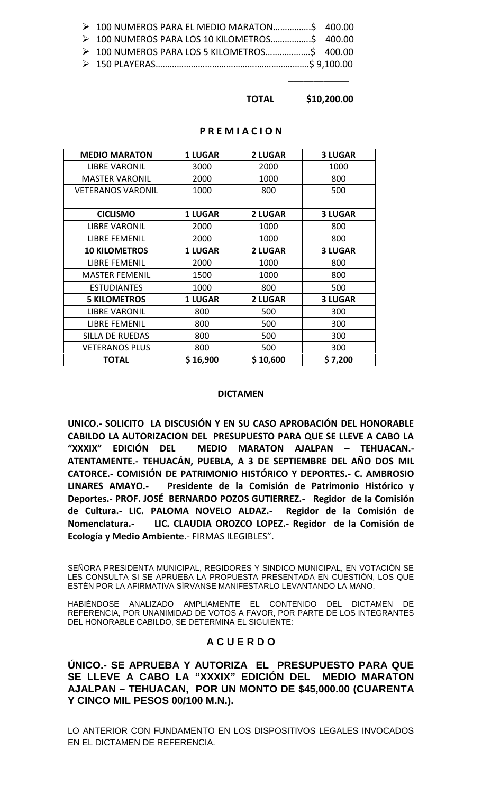| > 100 NUMEROS PARA EL MEDIO MARATON 400.00  |  |
|---------------------------------------------|--|
| > 100 NUMEROS PARA LOS 10 KILOMETROS 400.00 |  |
|                                             |  |
|                                             |  |

### **TOTAL \$10,200.00**

\_\_\_\_\_\_\_\_\_\_\_\_

#### **P R E M I A C I O N**

| <b>MEDIO MARATON</b>     | <b>1 LUGAR</b> | <b>2 LUGAR</b> | <b>3 LUGAR</b> |
|--------------------------|----------------|----------------|----------------|
| <b>LIBRE VARONIL</b>     | 3000           | 2000           | 1000           |
| <b>MASTER VARONIL</b>    | 2000           | 1000           | 800            |
| <b>VETERANOS VARONIL</b> | 1000           | 800            | 500            |
| <b>CICLISMO</b>          | <b>1 LUGAR</b> | <b>2 LUGAR</b> | <b>3 LUGAR</b> |
| <b>LIBRE VARONIL</b>     | 2000           | 1000           | 800            |
| <b>LIBRE FEMENIL</b>     | 2000           | 1000           | 800            |
| <b>10 KILOMETROS</b>     | <b>1 LUGAR</b> | <b>2 LUGAR</b> | <b>3 LUGAR</b> |
| <b>LIBRE FEMENIL</b>     | 2000           | 1000           | 800            |
| <b>MASTER FEMENIL</b>    | 1500           | 1000           | 800            |
| <b>ESTUDIANTES</b>       | 1000           | 800            | 500            |
| <b>5 KILOMETROS</b>      | <b>1 LUGAR</b> | <b>2 LUGAR</b> | <b>3 LUGAR</b> |
| <b>LIBRE VARONIL</b>     | 800            | 500            | 300            |
| <b>LIBRE FEMENIL</b>     | 800            | 500            | 300            |
| <b>SILLA DE RUEDAS</b>   | 800            | 500            | 300            |
| <b>VETERANOS PLUS</b>    | 800            | 500            | 300            |
| <b>TOTAL</b>             | \$16,900       | \$10,600       | \$7,200        |

#### **DICTAMEN**

**UNICO.- SOLICITO LA DISCUSIÓN Y EN SU CASO APROBACIÓN DEL HONORABLE CABILDO LA AUTORIZACION DEL PRESUPUESTO PARA QUE SE LLEVE A CABO LA "XXXIX" EDICIÓN DEL MEDIO MARATON AJALPAN – TEHUACAN.- ATENTAMENTE.- TEHUACÁN, PUEBLA, A 3 DE SEPTIEMBRE DEL AÑO DOS MIL CATORCE.- COMISIÓN DE PATRIMONIO HISTÓRICO Y DEPORTES.- C. AMBROSIO LINARES AMAYO.- Presidente de la Comisión de Patrimonio Histórico y Deportes.- PROF. JOSÉ BERNARDO POZOS GUTIERREZ.- Regidor de la Comisión de Cultura.- LIC. PALOMA NOVELO ALDAZ.- Regidor de la Comisión de Nomenclatura.- LIC. CLAUDIA OROZCO LOPEZ.- Regidor de la Comisión de Ecología y Medio Ambiente**.- FIRMAS ILEGIBLES".

SEÑORA PRESIDENTA MUNICIPAL, REGIDORES Y SINDICO MUNICIPAL, EN VOTACIÓN SE LES CONSULTA SI SE APRUEBA LA PROPUESTA PRESENTADA EN CUESTIÓN, LOS QUE ESTÉN POR LA AFIRMATIVA SÍRVANSE MANIFESTARLO LEVANTANDO LA MANO.

HABIÉNDOSE ANALIZADO AMPLIAMENTE EL CONTENIDO DEL DICTAMEN DE REFERENCIA, POR UNANIMIDAD DE VOTOS A FAVOR, POR PARTE DE LOS INTEGRANTES DEL HONORABLE CABILDO, SE DETERMINA EL SIGUIENTE:

## **A C U E R D O**

**ÚNICO.- SE APRUEBA Y AUTORIZA EL PRESUPUESTO PARA QUE SE LLEVE A CABO LA "XXXIX" EDICIÓN DEL MEDIO MARATON AJALPAN – TEHUACAN, POR UN MONTO DE \$45,000.00 (CUARENTA Y CINCO MIL PESOS 00/100 M.N.).**

LO ANTERIOR CON FUNDAMENTO EN LOS DISPOSITIVOS LEGALES INVOCADOS EN EL DICTAMEN DE REFERENCIA.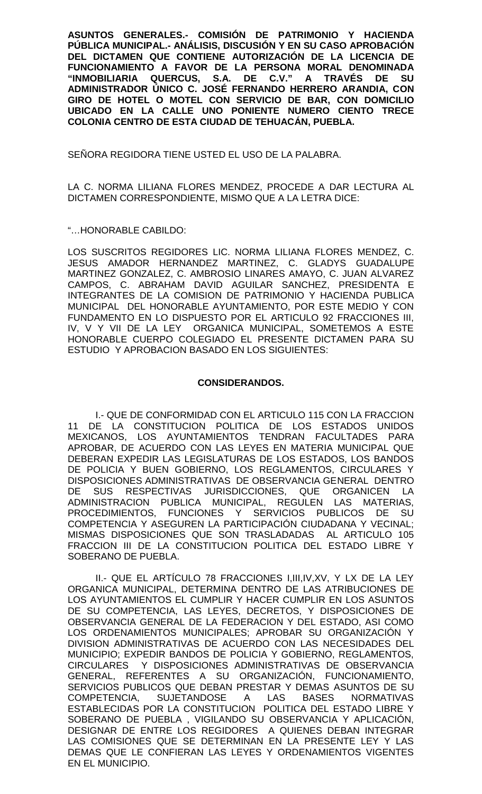**ASUNTOS GENERALES.- COMISIÓN DE PATRIMONIO Y HACIENDA PÚBLICA MUNICIPAL.- ANÁLISIS, DISCUSIÓN Y EN SU CASO APROBACIÓN DEL DICTAMEN QUE CONTIENE AUTORIZACIÓN DE LA LICENCIA DE FUNCIONAMIENTO A FAVOR DE LA PERSONA MORAL DENOMINADA "INMOBILIARIA QUERCUS, S.A. DE C.V." A TRAVÉS DE SU ADMINISTRADOR ÚNICO C. JOSÉ FERNANDO HERRERO ARANDIA, CON GIRO DE HOTEL O MOTEL CON SERVICIO DE BAR, CON DOMICILIO UBICADO EN LA CALLE UNO PONIENTE NUMERO CIENTO TRECE COLONIA CENTRO DE ESTA CIUDAD DE TEHUACÁN, PUEBLA.**

SEÑORA REGIDORA TIENE USTED EL USO DE LA PALABRA.

LA C. NORMA LILIANA FLORES MENDEZ, PROCEDE A DAR LECTURA AL DICTAMEN CORRESPONDIENTE, MISMO QUE A LA LETRA DICE:

"…HONORABLE CABILDO:

LOS SUSCRITOS REGIDORES LIC. NORMA LILIANA FLORES MENDEZ, C. JESUS AMADOR HERNANDEZ MARTINEZ, C. GLADYS GUADALUPE MARTINEZ GONZALEZ, C. AMBROSIO LINARES AMAYO, C. JUAN ALVAREZ CAMPOS, C. ABRAHAM DAVID AGUILAR SANCHEZ, PRESIDENTA E INTEGRANTES DE LA COMISION DE PATRIMONIO Y HACIENDA PUBLICA MUNICIPAL DEL HONORABLE AYUNTAMIENTO, POR ESTE MEDIO Y CON FUNDAMENTO EN LO DISPUESTO POR EL ARTICULO 92 FRACCIONES III, IV, V Y VII DE LA LEY ORGANICA MUNICIPAL, SOMETEMOS A ESTE HONORABLE CUERPO COLEGIADO EL PRESENTE DICTAMEN PARA SU ESTUDIO Y APROBACION BASADO EN LOS SIGUIENTES:

## **CONSIDERANDOS.**

I.- QUE DE CONFORMIDAD CON EL ARTICULO 115 CON LA FRACCION 11 DE LA CONSTITUCION POLITICA DE LOS ESTADOS UNIDOS MEXICANOS, LOS AYUNTAMIENTOS TENDRAN FACULTADES PARA APROBAR, DE ACUERDO CON LAS LEYES EN MATERIA MUNICIPAL QUE DEBERAN EXPEDIR LAS LEGISLATURAS DE LOS ESTADOS, LOS BANDOS DE POLICIA Y BUEN GOBIERNO, LOS REGLAMENTOS, CIRCULARES Y DISPOSICIONES ADMINISTRATIVAS DE OBSERVANCIA GENERAL DENTRO DE SUS RESPECTIVAS JURISDICCIONES, QUE ORGANICEN LA ADMINISTRACION PUBLICA MUNICIPAL, REGULEN LAS MATERIAS, PROCEDIMIENTOS, FUNCIONES Y SERVICIOS PUBLICOS DE SU COMPETENCIA Y ASEGUREN LA PARTICIPACIÓN CIUDADANA Y VECINAL; MISMAS DISPOSICIONES QUE SON TRASLADADAS AL ARTICULO 105 FRACCION III DE LA CONSTITUCION POLITICA DEL ESTADO LIBRE Y SOBERANO DE PUEBLA.

II.- QUE EL ARTÍCULO 78 FRACCIONES I,III,IV,XV, Y LX DE LA LEY ORGANICA MUNICIPAL, DETERMINA DENTRO DE LAS ATRIBUCIONES DE LOS AYUNTAMIENTOS EL CUMPLIR Y HACER CUMPLIR EN LOS ASUNTOS DE SU COMPETENCIA, LAS LEYES, DECRETOS, Y DISPOSICIONES DE OBSERVANCIA GENERAL DE LA FEDERACION Y DEL ESTADO, ASI COMO LOS ORDENAMIENTOS MUNICIPALES; APROBAR SU ORGANIZACIÓN Y DIVISION ADMINISTRATIVAS DE ACUERDO CON LAS NECESIDADES DEL MUNICIPIO; EXPEDIR BANDOS DE POLICIA Y GOBIERNO, REGLAMENTOS, CIRCULARES Y DISPOSICIONES ADMINISTRATIVAS DE OBSERVANCIA GENERAL, REFERENTES A SU ORGANIZACIÓN, FUNCIONAMIENTO, SERVICIOS PUBLICOS QUE DEBAN PRESTAR Y DEMAS ASUNTOS DE SU COMPETENCIA, SUJETANDOSE A LAS BASES NORMATIVAS ESTABLECIDAS POR LA CONSTITUCION POLITICA DEL ESTADO LIBRE Y SOBERANO DE PUEBLA , VIGILANDO SU OBSERVANCIA Y APLICACIÓN, DESIGNAR DE ENTRE LOS REGIDORES A QUIENES DEBAN INTEGRAR LAS COMISIONES QUE SE DETERMINAN EN LA PRESENTE LEY Y LAS DEMAS QUE LE CONFIERAN LAS LEYES Y ORDENAMIENTOS VIGENTES EN EL MUNICIPIO.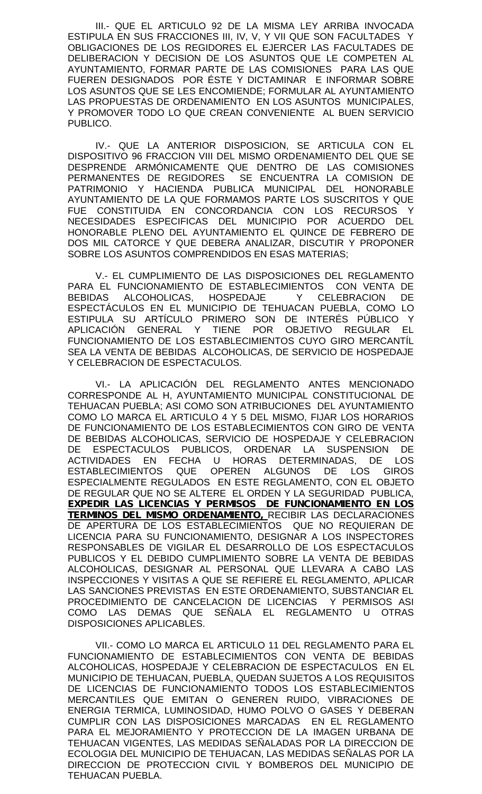III.- QUE EL ARTICULO 92 DE LA MISMA LEY ARRIBA INVOCADA ESTIPULA EN SUS FRACCIONES III, IV, V, Y VII QUE SON FACULTADES Y OBLIGACIONES DE LOS REGIDORES EL EJERCER LAS FACULTADES DE DELIBERACION Y DECISION DE LOS ASUNTOS QUE LE COMPETEN AL AYUNTAMIENTO, FORMAR PARTE DE LAS COMISIONES PARA LAS QUE FUEREN DESIGNADOS POR ÉSTE Y DICTAMINAR E INFORMAR SOBRE LOS ASUNTOS QUE SE LES ENCOMIENDE; FORMULAR AL AYUNTAMIENTO LAS PROPUESTAS DE ORDENAMIENTO EN LOS ASUNTOS MUNICIPALES, Y PROMOVER TODO LO QUE CREAN CONVENIENTE AL BUEN SERVICIO PUBLICO.

IV.- QUE LA ANTERIOR DISPOSICION, SE ARTICULA CON EL DISPOSITIVO 96 FRACCION VIII DEL MISMO ORDENAMIENTO DEL QUE SE DESPRENDE ARMÓNICAMENTE QUE DENTRO DE LAS COMISIONES PERMANENTES DE REGIDORES SE ENCUENTRA LA COMISION DE PATRIMONIO Y HACIENDA PUBLICA MUNICIPAL DEL HONORABLE AYUNTAMIENTO DE LA QUE FORMAMOS PARTE LOS SUSCRITOS Y QUE FUE CONSTITUIDA EN CONCORDANCIA CON LOS RECURSOS Y NECESIDADES ESPECIFICAS DEL MUNICIPIO POR ACUERDO DEL HONORABLE PLENO DEL AYUNTAMIENTO EL QUINCE DE FEBRERO DE DOS MIL CATORCE Y QUE DEBERA ANALIZAR, DISCUTIR Y PROPONER SOBRE LOS ASUNTOS COMPRENDIDOS EN ESAS MATERIAS;

V.- EL CUMPLIMIENTO DE LAS DISPOSICIONES DEL REGLAMENTO PARA EL FUNCIONAMIENTO DE ESTABLECIMIENTOS CON VENTA DE BEBIDAS ALCOHOLICAS, HOSPEDAJE Y CELEBRACION DE ESPECTÁCULOS EN EL MUNICIPIO DE TEHUACAN PUEBLA, COMO LO ESTIPULA SU ARTÍCULO PRIMERO SON DE INTERÉS PÚBLICO Y APLICACIÓN GENERAL Y TIENE POR OBJETIVO REGULAR EL FUNCIONAMIENTO DE LOS ESTABLECIMIENTOS CUYO GIRO MERCANTÍL SEA LA VENTA DE BEBIDAS ALCOHOLICAS, DE SERVICIO DE HOSPEDAJE Y CELEBRACION DE ESPECTACULOS.

VI.- LA APLICACIÓN DEL REGLAMENTO ANTES MENCIONADO CORRESPONDE AL H, AYUNTAMIENTO MUNICIPAL CONSTITUCIONAL DE TEHUACAN PUEBLA; ASI COMO SON ATRIBUCIONES DEL AYUNTAMIENTO COMO LO MARCA EL ARTICULO 4 Y 5 DEL MISMO, FIJAR LOS HORARIOS DE FUNCIONAMIENTO DE LOS ESTABLECIMIENTOS CON GIRO DE VENTA DE BEBIDAS ALCOHOLICAS, SERVICIO DE HOSPEDAJE Y CELEBRACION DE ESPECTACULOS PUBLICOS, ORDENAR LA SUSPENSION DE ACTIVIDADES EN FECHA U HORAS DETERMINADAS, DE LOS ESTABLECIMIENTOS QUE OPEREN ALGUNOS DE LOS GIROS ESPECIALMENTE REGULADOS EN ESTE REGLAMENTO, CON EL OBJETO DE REGULAR QUE NO SE ALTERE EL ORDEN Y LA SEGURIDAD PUBLICA, *EXPEDIR LAS LICENCIAS Y PERMISOS DE FUNCIONAMIENTO EN LOS TERMINOS DEL MISMO ORDENAMIENTO,* RECIBIR LAS DECLARACIONES DE APERTURA DE LOS ESTABLECIMIENTOS QUE NO REQUIERAN DE LICENCIA PARA SU FUNCIONAMIENTO, DESIGNAR A LOS INSPECTORES RESPONSABLES DE VIGILAR EL DESARROLLO DE LOS ESPECTACULOS PUBLICOS Y EL DEBIDO CUMPLIMIENTO SOBRE LA VENTA DE BEBIDAS ALCOHOLICAS, DESIGNAR AL PERSONAL QUE LLEVARA A CABO LAS INSPECCIONES Y VISITAS A QUE SE REFIERE EL REGLAMENTO, APLICAR LAS SANCIONES PREVISTAS EN ESTE ORDENAMIENTO, SUBSTANCIAR EL PROCEDIMIENTO DE CANCELACION DE LICENCIAS Y PERMISOS ASI COMO LAS DEMAS QUE SEÑALA EL REGLAMENTO U OTRAS DISPOSICIONES APLICABLES.

VII.- COMO LO MARCA EL ARTICULO 11 DEL REGLAMENTO PARA EL FUNCIONAMIENTO DE ESTABLECIMIENTOS CON VENTA DE BEBIDAS ALCOHOLICAS, HOSPEDAJE Y CELEBRACION DE ESPECTACULOS EN EL MUNICIPIO DE TEHUACAN, PUEBLA, QUEDAN SUJETOS A LOS REQUISITOS DE LICENCIAS DE FUNCIONAMIENTO TODOS LOS ESTABLECIMIENTOS MERCANTILES QUE EMITAN O GENEREN RUIDO, VIBRACIONES DE ENERGIA TERMICA, LUMINOSIDAD, HUMO POLVO O GASES Y DEBERAN CUMPLIR CON LAS DISPOSICIONES MARCADAS EN EL REGLAMENTO PARA EL MEJORAMIENTO Y PROTECCION DE LA IMAGEN URBANA DE TEHUACAN VIGENTES, LAS MEDIDAS SEÑALADAS POR LA DIRECCION DE ECOLOGIA DEL MUNICIPIO DE TEHUACAN, LAS MEDIDAS SENALAS POR LA DIRECCION DE PROTECCION CIVIL Y BOMBEROS DEL MUNICIPIO DE TEHUACAN PUEBLA.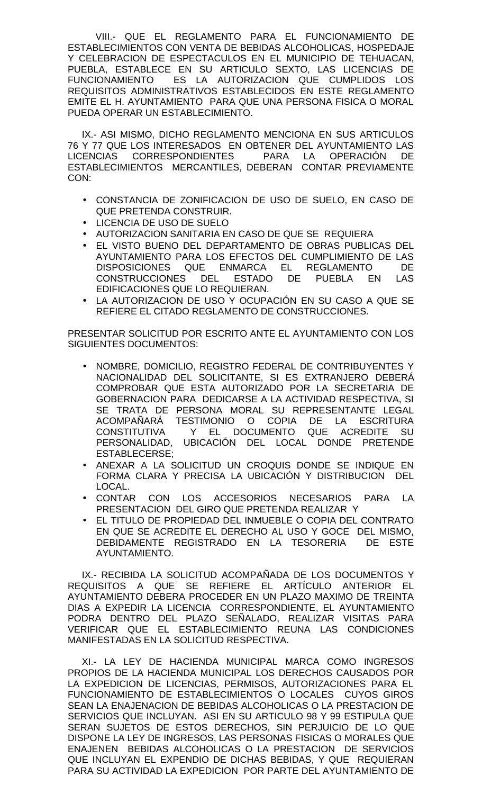VIII.- QUE EL REGLAMENTO PARA EL FUNCIONAMIENTO DE ESTABLECIMIENTOS CON VENTA DE BEBIDAS ALCOHOLICAS, HOSPEDAJE Y CELEBRACION DE ESPECTACULOS EN EL MUNICIPIO DE TEHUACAN, PUEBLA, ESTABLECE EN SU ARTICULO SEXTO, LAS LICENCIAS DE FUNCIONAMIENTO ES LA AUTORIZACION QUE CUMPLIDOS LOS REQUISITOS ADMINISTRATIVOS ESTABLECIDOS EN ESTE REGLAMENTO EMITE EL H. AYUNTAMIENTO PARA QUE UNA PERSONA FISICA O MORAL PUEDA OPERAR UN ESTABLECIMIENTO.

IX.- ASI MISMO, DICHO REGLAMENTO MENCIONA EN SUS ARTICULOS 76 Y 77 QUE LOS INTERESADOS EN OBTENER DEL AYUNTAMIENTO LAS LICENCIAS CORRESPONDIENTES PARA LA OPERACIÓN DE ESTABLECIMIENTOS MERCANTILES, DEBERAN CONTAR PREVIAMENTE CON:

- CONSTANCIA DE ZONIFICACION DE USO DE SUELO, EN CASO DE QUE PRETENDA CONSTRUIR.
- LICENCIA DE USO DE SUELO
- AUTORIZACION SANITARIA EN CASO DE QUE SE REQUIERA
- EL VISTO BUENO DEL DEPARTAMENTO DE OBRAS PUBLICAS DEL AYUNTAMIENTO PARA LOS EFECTOS DEL CUMPLIMIENTO DE LAS DISPOSICIONES QUE ENMARCA EL REGLAMENTO DE<br>CONSTRUCCIONES DEL ESTADO DE PUEBLA EN LAS CONSTRUCCIONES DEL ESTADO DE PUEBLA EN LAS EDIFICACIONES QUE LO REQUIERAN.
- LA AUTORIZACION DE USO Y OCUPACIÓN EN SU CASO A QUE SE REFIERE EL CITADO REGLAMENTO DE CONSTRUCCIONES.

PRESENTAR SOLICITUD POR ESCRITO ANTE EL AYUNTAMIENTO CON LOS SIGUIENTES DOCUMENTOS:

- NOMBRE, DOMICILIO, REGISTRO FEDERAL DE CONTRIBUYENTES Y NACIONALIDAD DEL SOLICITANTE, SI ES EXTRANJERO DEBERÁ COMPROBAR QUE ESTA AUTORIZADO POR LA SECRETARIA DE GOBERNACION PARA DEDICARSE A LA ACTIVIDAD RESPECTIVA, SI SE TRATA DE PERSONA MORAL SU REPRESENTANTE LEGAL ACOMPAÑARÁ TESTIMONIO O COPIA DE LA ESCRITURA CONSTITUTIVA Y EL DOCUMENTO QUE ACREDITE SU PERSONALIDAD, UBICACIÓN DEL LOCAL DONDE PRETENDE ESTABLECERSE;
- ANEXAR A LA SOLICITUD UN CROQUIS DONDE SE INDIQUE EN FORMA CLARA Y PRECISA LA UBICACIÓN Y DISTRIBUCION DEL LOCAL.
- CONTAR CON LOS ACCESORIOS NECESARIOS PARA LA PRESENTACION DEL GIRO QUE PRETENDA REALIZAR Y
- EL TITULO DE PROPIEDAD DEL INMUEBLE O COPIA DEL CONTRATO EN QUE SE ACREDITE EL DERECHO AL USO Y GOCE DEL MISMO, DEBIDAMENTE REGISTRADO EN LA TESORERIA DE ESTE AYUNTAMIENTO.

IX.- RECIBIDA LA SOLICITUD ACOMPAÑADA DE LOS DOCUMENTOS Y REQUISITOS A QUE SE REFIERE EL ARTÍCULO ANTERIOR EL AYUNTAMIENTO DEBERA PROCEDER EN UN PLAZO MAXIMO DE TREINTA DIAS A EXPEDIR LA LICENCIA CORRESPONDIENTE, EL AYUNTAMIENTO PODRA DENTRO DEL PLAZO SEÑALADO, REALIZAR VISITAS PARA VERIFICAR QUE EL ESTABLECIMIENTO REUNA LAS CONDICIONES MANIFESTADAS EN LA SOLICITUD RESPECTIVA.

XI.- LA LEY DE HACIENDA MUNICIPAL MARCA COMO INGRESOS PROPIOS DE LA HACIENDA MUNICIPAL LOS DERECHOS CAUSADOS POR LA EXPEDICION DE LICENCIAS, PERMISOS, AUTORIZACIONES PARA EL FUNCIONAMIENTO DE ESTABLECIMIENTOS O LOCALES CUYOS GIROS SEAN LA ENAJENACION DE BEBIDAS ALCOHOLICAS O LA PRESTACION DE SERVICIOS QUE INCLUYAN. ASI EN SU ARTICULO 98 Y 99 ESTIPULA QUE SERAN SUJETOS DE ESTOS DERECHOS, SIN PERJUICIO DE LO QUE DISPONE LA LEY DE INGRESOS, LAS PERSONAS FISICAS O MORALES QUE ENAJENEN BEBIDAS ALCOHOLICAS O LA PRESTACION DE SERVICIOS QUE INCLUYAN EL EXPENDIO DE DICHAS BEBIDAS, Y QUE REQUIERAN PARA SU ACTIVIDAD LA EXPEDICION POR PARTE DEL AYUNTAMIENTO DE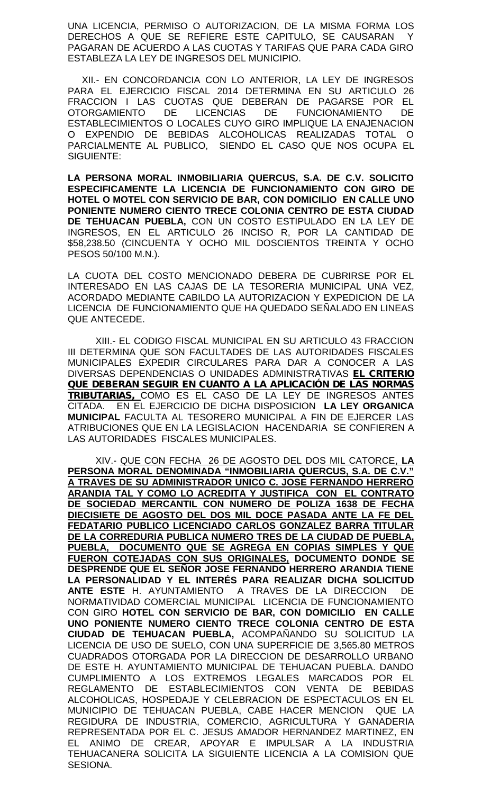UNA LICENCIA, PERMISO O AUTORIZACION, DE LA MISMA FORMA LOS DERECHOS A QUE SE REFIERE ESTE CAPITULO, SE CAUSARAN Y PAGARAN DE ACUERDO A LAS CUOTAS Y TARIFAS QUE PARA CADA GIRO ESTABLEZA LA LEY DE INGRESOS DEL MUNICIPIO.

XII.- EN CONCORDANCIA CON LO ANTERIOR, LA LEY DE INGRESOS PARA EL EJERCICIO FISCAL 2014 DETERMINA EN SU ARTICULO 26 FRACCION I LAS CUOTAS QUE DEBERAN DE PAGARSE POR EL OTORGAMIENTO DE LICENCIAS DE FUNCIONAMIENTO DE ESTABLECIMIENTOS O LOCALES CUYO GIRO IMPLIQUE LA ENAJENACION O EXPENDIO DE BEBIDAS ALCOHOLICAS REALIZADAS TOTAL O PARCIALMENTE AL PUBLICO, SIENDO EL CASO QUE NOS OCUPA EL SIGUIENTE:

**LA PERSONA MORAL INMOBILIARIA QUERCUS, S.A. DE C.V. SOLICITO ESPECIFICAMENTE LA LICENCIA DE FUNCIONAMIENTO CON GIRO DE HOTEL O MOTEL CON SERVICIO DE BAR, CON DOMICILIO EN CALLE UNO PONIENTE NUMERO CIENTO TRECE COLONIA CENTRO DE ESTA CIUDAD DE TEHUACAN PUEBLA,** CON UN COSTO ESTIPULADO EN LA LEY DE INGRESOS, EN EL ARTICULO 26 INCISO R, POR LA CANTIDAD DE \$58,238.50 (CINCUENTA Y OCHO MIL DOSCIENTOS TREINTA Y OCHO PESOS 50/100 M.N.).

LA CUOTA DEL COSTO MENCIONADO DEBERA DE CUBRIRSE POR EL INTERESADO EN LAS CAJAS DE LA TESORERIA MUNICIPAL UNA VEZ, ACORDADO MEDIANTE CABILDO LA AUTORIZACION Y EXPEDICION DE LA LICENCIA DE FUNCIONAMIENTO QUE HA QUEDADO SEÑALADO EN LINEAS QUE ANTECEDE.

XIII.- EL CODIGO FISCAL MUNICIPAL EN SU ARTICULO 43 FRACCION III DETERMINA QUE SON FACULTADES DE LAS AUTORIDADES FISCALES MUNICIPALES EXPEDIR CIRCULARES PARA DAR A CONOCER A LAS DIVERSAS DEPENDENCIAS O UNIDADES ADMINISTRATIVAS *EL CRITERIO QUE DEBERAN SEGUIR EN CUANTO A LA APLICACIÓN DE LAS NORMAS TRIBUTARIAS,* COMO ES EL CASO DE LA LEY DE INGRESOS ANTES CITADA. EN EL EJERCICIO DE DICHA DISPOSICION **LA LEY ORGANICA MUNICIPAL** FACULTA AL TESORERO MUNICIPAL A FIN DE EJERCER LAS ATRIBUCIONES QUE EN LA LEGISLACION HACENDARIA SE CONFIEREN A LAS AUTORIDADES FISCALES MUNICIPALES.

XIV.- QUE CON FECHA 26 DE AGOSTO DEL DOS MIL CATORCE, **LA PERSONA MORAL DENOMINADA "INMOBILIARIA QUERCUS, S.A. DE C.V." A TRAVES DE SU ADMINISTRADOR UNICO C. JOSE FERNANDO HERRERO ARANDIA TAL Y COMO LO ACREDITA Y JUSTIFICA CON EL CONTRATO DE SOCIEDAD MERCANTIL CON NUMERO DE POLIZA 1638 DE FECHA DIECISIETE DE AGOSTO DEL DOS MIL DOCE PASADA ANTE LA FE DEL FEDATARIO PUBLICO LICENCIADO CARLOS GONZALEZ BARRA TITULAR DE LA CORREDURIA PUBLICA NUMERO TRES DE LA CIUDAD DE PUEBLA, PUEBLA, DOCUMENTO QUE SE AGREGA EN COPIAS SIMPLES Y QUE FUERON COTEJADAS CON SUS ORIGINALES, DOCUMENTO DONDE SE DESPRENDE QUE EL SEÑOR JOSE FERNANDO HERRERO ARANDIA TIENE LA PERSONALIDAD Y EL INTERÉS PARA REALIZAR DICHA SOLICITUD ANTE ESTE** H. AYUNTAMIENTO A TRAVES DE LA DIRECCION DE NORMATIVIDAD COMERCIAL MUNICIPAL LICENCIA DE FUNCIONAMIENTO CON GIRO **HOTEL CON SERVICIO DE BAR, CON DOMICILIO EN CALLE UNO PONIENTE NUMERO CIENTO TRECE COLONIA CENTRO DE ESTA CIUDAD DE TEHUACAN PUEBLA,** ACOMPAÑANDO SU SOLICITUD LA LICENCIA DE USO DE SUELO, CON UNA SUPERFICIE DE 3,565.80 METROS CUADRADOS OTORGADA POR LA DIRECCION DE DESARROLLO URBANO DE ESTE H. AYUNTAMIENTO MUNICIPAL DE TEHUACAN PUEBLA. DANDO CUMPLIMIENTO A LOS EXTREMOS LEGALES MARCADOS POR EL REGLAMENTO DE ESTABLECIMIENTOS CON VENTA DE BEBIDAS ALCOHOLICAS, HOSPEDAJE Y CELEBRACION DE ESPECTACULOS EN EL MUNICIPIO DE TEHUACAN PUEBLA, CABE HACER MENCION QUE LA REGIDURA DE INDUSTRIA, COMERCIO, AGRICULTURA Y GANADERIA REPRESENTADA POR EL C. JESUS AMADOR HERNANDEZ MARTINEZ, EN EL ANIMO DE CREAR, APOYAR E IMPULSAR A LA INDUSTRIA TEHUACANERA SOLICITA LA SIGUIENTE LICENCIA A LA COMISION QUE SESIONA.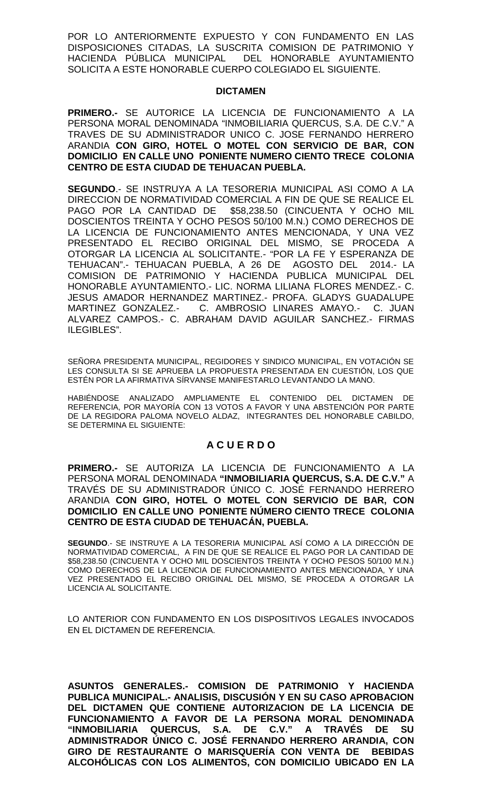POR LO ANTERIORMENTE EXPUESTO Y CON FUNDAMENTO EN LAS DISPOSICIONES CITADAS, LA SUSCRITA COMISION DE PATRIMONIO Y HACIENDA PÚBLICA MUNICIPAL DEL HONORABLE AYUNTAMIENTO SOLICITA A ESTE HONORABLE CUERPO COLEGIADO EL SIGUIENTE.

### **DICTAMEN**

**PRIMERO.-** SE AUTORICE LA LICENCIA DE FUNCIONAMIENTO A LA PERSONA MORAL DENOMINADA "INMOBILIARIA QUERCUS, S.A. DE C.V." A TRAVES DE SU ADMINISTRADOR UNICO C. JOSE FERNANDO HERRERO ARANDIA **CON GIRO, HOTEL O MOTEL CON SERVICIO DE BAR, CON DOMICILIO EN CALLE UNO PONIENTE NUMERO CIENTO TRECE COLONIA CENTRO DE ESTA CIUDAD DE TEHUACAN PUEBLA.**

**SEGUNDO**.- SE INSTRUYA A LA TESORERIA MUNICIPAL ASI COMO A LA DIRECCION DE NORMATIVIDAD COMERCIAL A FIN DE QUE SE REALICE EL PAGO POR LA CANTIDAD DE \$58,238.50 (CINCUENTA Y OCHO MIL DOSCIENTOS TREINTA Y OCHO PESOS 50/100 M.N.) COMO DERECHOS DE LA LICENCIA DE FUNCIONAMIENTO ANTES MENCIONADA, Y UNA VEZ PRESENTADO EL RECIBO ORIGINAL DEL MISMO, SE PROCEDA A OTORGAR LA LICENCIA AL SOLICITANTE.- "POR LA FE Y ESPERANZA DE TEHUACAN".- TEHUACAN PUEBLA, A 26 DE AGOSTO DEL 2014.- LA COMISION DE PATRIMONIO Y HACIENDA PUBLICA MUNICIPAL DEL HONORABLE AYUNTAMIENTO.- LIC. NORMA LILIANA FLORES MENDEZ.- C. JESUS AMADOR HERNANDEZ MARTINEZ.- PROFA. GLADYS GUADALUPE MARTINEZ GONZALEZ.- C. AMBROSIO LINARES AMAYO.- C. JUAN ALVAREZ CAMPOS.- C. ABRAHAM DAVID AGUILAR SANCHEZ.- FIRMAS ILEGIBLES".

SEÑORA PRESIDENTA MUNICIPAL, REGIDORES Y SINDICO MUNICIPAL, EN VOTACIÓN SE LES CONSULTA SI SE APRUEBA LA PROPUESTA PRESENTADA EN CUESTIÓN, LOS QUE ESTÉN POR LA AFIRMATIVA SÍRVANSE MANIFESTARLO LEVANTANDO LA MANO.

HABIÉNDOSE ANALIZADO AMPLIAMENTE EL CONTENIDO DEL DICTAMEN DE REFERENCIA, POR MAYORÍA CON 13 VOTOS A FAVOR Y UNA ABSTENCIÓN POR PARTE DE LA REGIDORA PALOMA NOVELO ALDAZ, INTEGRANTES DEL HONORABLE CABILDO, SE DETERMINA EL SIGUIENTE:

# **A C U E R D O**

**PRIMERO.-** SE AUTORIZA LA LICENCIA DE FUNCIONAMIENTO A LA PERSONA MORAL DENOMINADA **"INMOBILIARIA QUERCUS, S.A. DE C.V."** A TRAVÉS DE SU ADMINISTRADOR ÚNICO C. JOSÉ FERNANDO HERRERO ARANDIA **CON GIRO, HOTEL O MOTEL CON SERVICIO DE BAR, CON DOMICILIO EN CALLE UNO PONIENTE NÚMERO CIENTO TRECE COLONIA CENTRO DE ESTA CIUDAD DE TEHUACÁN, PUEBLA.**

**SEGUNDO**.- SE INSTRUYE A LA TESORERIA MUNICIPAL ASÍ COMO A LA DIRECCIÓN DE NORMATIVIDAD COMERCIAL, A FIN DE QUE SE REALICE EL PAGO POR LA CANTIDAD DE \$58,238.50 (CINCUENTA Y OCHO MIL DOSCIENTOS TREINTA Y OCHO PESOS 50/100 M.N.) COMO DERECHOS DE LA LICENCIA DE FUNCIONAMIENTO ANTES MENCIONADA, Y UNA VEZ PRESENTADO EL RECIBO ORIGINAL DEL MISMO, SE PROCEDA A OTORGAR LA LICENCIA AL SOLICITANTE.

LO ANTERIOR CON FUNDAMENTO EN LOS DISPOSITIVOS LEGALES INVOCADOS EN EL DICTAMEN DE REFERENCIA.

**ASUNTOS GENERALES.- COMISION DE PATRIMONIO Y HACIENDA PUBLICA MUNICIPAL.- ANALISIS, DISCUSIÓN Y EN SU CASO APROBACION DEL DICTAMEN QUE CONTIENE AUTORIZACION DE LA LICENCIA DE FUNCIONAMIENTO A FAVOR DE LA PERSONA MORAL DENOMINADA "INMOBILIARIA QUERCUS, S.A. DE C.V." A TRAVÉS DE SU ADMINISTRADOR ÚNICO C. JOSÉ FERNANDO HERRERO ARANDIA, CON GIRO DE RESTAURANTE O MARISQUERÍA CON VENTA DE BEBIDAS ALCOHÓLICAS CON LOS ALIMENTOS, CON DOMICILIO UBICADO EN LA**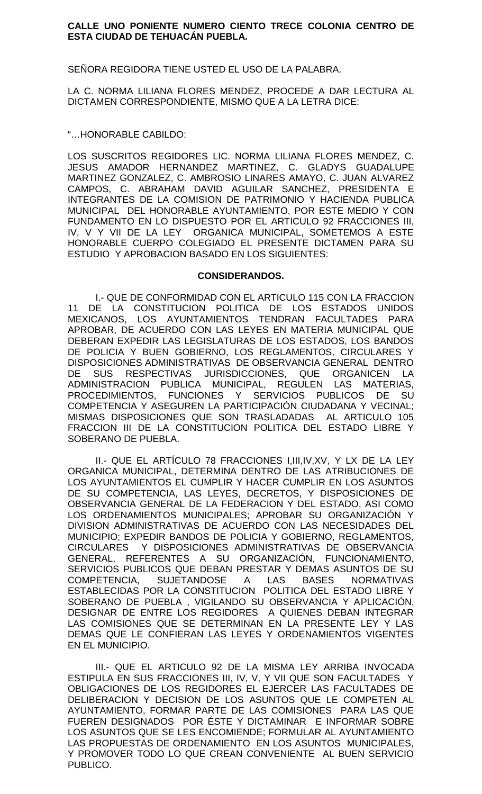## **CALLE UNO PONIENTE NUMERO CIENTO TRECE COLONIA CENTRO DE ESTA CIUDAD DE TEHUACÁN PUEBLA.**

SEÑORA REGIDORA TIENE USTED EL USO DE LA PALABRA.

LA C. NORMA LILIANA FLORES MENDEZ, PROCEDE A DAR LECTURA AL DICTAMEN CORRESPONDIENTE, MISMO QUE A LA LETRA DICE:

"…HONORABLE CABILDO:

LOS SUSCRITOS REGIDORES LIC. NORMA LILIANA FLORES MENDEZ, C. JESUS AMADOR HERNANDEZ MARTINEZ, C. GLADYS GUADALUPE MARTINEZ GONZALEZ, C. AMBROSIO LINARES AMAYO, C. JUAN ALVAREZ CAMPOS, C. ABRAHAM DAVID AGUILAR SANCHEZ, PRESIDENTA E INTEGRANTES DE LA COMISION DE PATRIMONIO Y HACIENDA PUBLICA MUNICIPAL DEL HONORABLE AYUNTAMIENTO, POR ESTE MEDIO Y CON FUNDAMENTO EN LO DISPUESTO POR EL ARTICULO 92 FRACCIONES III, IV, V Y VII DE LA LEY ORGANICA MUNICIPAL, SOMETEMOS A ESTE HONORABLE CUERPO COLEGIADO EL PRESENTE DICTAMEN PARA SU ESTUDIO Y APROBACION BASADO EN LOS SIGUIENTES:

## **CONSIDERANDOS.**

I.- QUE DE CONFORMIDAD CON EL ARTICULO 115 CON LA FRACCION 11 DE LA CONSTITUCION POLITICA DE LOS ESTADOS UNIDOS MEXICANOS, LOS AYUNTAMIENTOS TENDRAN FACULTADES PARA APROBAR, DE ACUERDO CON LAS LEYES EN MATERIA MUNICIPAL QUE DEBERAN EXPEDIR LAS LEGISLATURAS DE LOS ESTADOS, LOS BANDOS DE POLICIA Y BUEN GOBIERNO, LOS REGLAMENTOS, CIRCULARES Y DISPOSICIONES ADMINISTRATIVAS DE OBSERVANCIA GENERAL DENTRO DE SUS RESPECTIVAS JURISDICCIONES, QUE ORGANICEN LA ADMINISTRACION PUBLICA MUNICIPAL, REGULEN LAS MATERIAS, PROCEDIMIENTOS, FUNCIONES Y SERVICIOS PUBLICOS DE SU COMPETENCIA Y ASEGUREN LA PARTICIPACIÓN CIUDADANA Y VECINAL; MISMAS DISPOSICIONES QUE SON TRASLADADAS AL ARTICULO 105 FRACCION III DE LA CONSTITUCION POLITICA DEL ESTADO LIBRE Y SOBERANO DE PUEBLA.

II.- QUE EL ARTÍCULO 78 FRACCIONES I,III,IV,XV, Y LX DE LA LEY ORGANICA MUNICIPAL, DETERMINA DENTRO DE LAS ATRIBUCIONES DE LOS AYUNTAMIENTOS EL CUMPLIR Y HACER CUMPLIR EN LOS ASUNTOS DE SU COMPETENCIA, LAS LEYES, DECRETOS, Y DISPOSICIONES DE OBSERVANCIA GENERAL DE LA FEDERACION Y DEL ESTADO, ASI COMO LOS ORDENAMIENTOS MUNICIPALES; APROBAR SU ORGANIZACIÓN Y DIVISION ADMINISTRATIVAS DE ACUERDO CON LAS NECESIDADES DEL MUNICIPIO; EXPEDIR BANDOS DE POLICIA Y GOBIERNO, REGLAMENTOS, CIRCULARES Y DISPOSICIONES ADMINISTRATIVAS DE OBSERVANCIA GENERAL, REFERENTES A SU ORGANIZACIÓN, FUNCIONAMIENTO, SERVICIOS PUBLICOS QUE DEBAN PRESTAR Y DEMAS ASUNTOS DE SU COMPETENCIA, SUJETANDOSE A LAS BASES NORMATIVAS ESTABLECIDAS POR LA CONSTITUCION POLITICA DEL ESTADO LIBRE Y SOBERANO DE PUEBLA , VIGILANDO SU OBSERVANCIA Y APLICACIÓN, DESIGNAR DE ENTRE LOS REGIDORES A QUIENES DEBAN INTEGRAR LAS COMISIONES QUE SE DETERMINAN EN LA PRESENTE LEY Y LAS DEMAS QUE LE CONFIERAN LAS LEYES Y ORDENAMIENTOS VIGENTES EN EL MUNICIPIO.

III.- QUE EL ARTICULO 92 DE LA MISMA LEY ARRIBA INVOCADA ESTIPULA EN SUS FRACCIONES III, IV, V, Y VII QUE SON FACULTADES Y OBLIGACIONES DE LOS REGIDORES EL EJERCER LAS FACULTADES DE DELIBERACION Y DECISION DE LOS ASUNTOS QUE LE COMPETEN AL AYUNTAMIENTO, FORMAR PARTE DE LAS COMISIONES PARA LAS QUE FUEREN DESIGNADOS POR ÉSTE Y DICTAMINAR E INFORMAR SOBRE LOS ASUNTOS QUE SE LES ENCOMIENDE; FORMULAR AL AYUNTAMIENTO LAS PROPUESTAS DE ORDENAMIENTO EN LOS ASUNTOS MUNICIPALES, Y PROMOVER TODO LO QUE CREAN CONVENIENTE AL BUEN SERVICIO PUBLICO.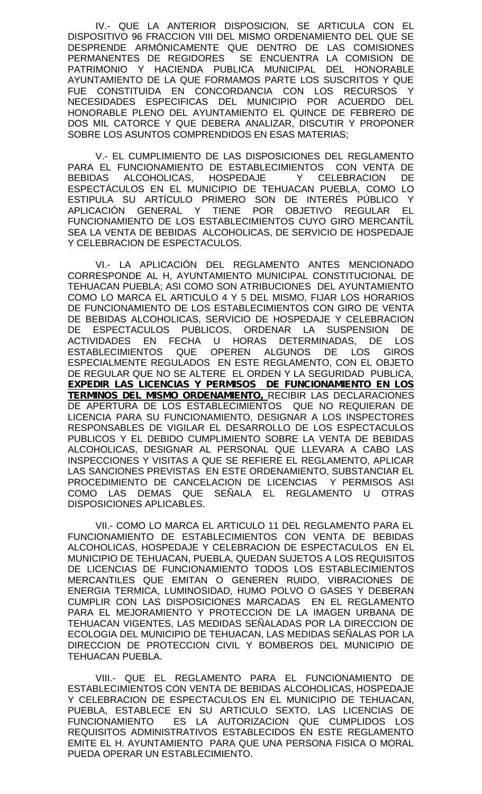IV.- QUE LA ANTERIOR DISPOSICION, SE ARTICULA CON EL DISPOSITIVO 96 FRACCION VIII DEL MISMO ORDENAMIENTO DEL QUE SE DESPRENDE ARMÓNICAMENTE QUE DENTRO DE LAS COMISIONES PERMANENTES DE REGIDORES SE ENCUENTRA LA COMISION DE PATRIMONIO Y HACIENDA PUBLICA MUNICIPAL DEL HONORABLE AYUNTAMIENTO DE LA QUE FORMAMOS PARTE LOS SUSCRITOS Y QUE FUE CONSTITUIDA EN CONCORDANCIA CON LOS RECURSOS Y NECESIDADES ESPECIFICAS DEL MUNICIPIO POR ACUERDO DEL HONORABLE PLENO DEL AYUNTAMIENTO EL QUINCE DE FEBRERO DE DOS MIL CATORCE Y QUE DEBERA ANALIZAR, DISCUTIR Y PROPONER SOBRE LOS ASUNTOS COMPRENDIDOS EN ESAS MATERIAS;

V.- EL CUMPLIMIENTO DE LAS DISPOSICIONES DEL REGLAMENTO PARA EL FUNCIONAMIENTO DE ESTABLECIMIENTOS CON VENTA DE BEBIDAS ALCOHOLICAS, HOSPEDAJE Y CELEBRACION DE ESPECTÁCULOS EN EL MUNICIPIO DE TEHUACAN PUEBLA, COMO LO ESTIPULA SU ARTÍCULO PRIMERO SON DE INTERÉS PÚBLICO Y APLICACIÓN GENERAL Y TIENE POR OBJETIVO REGULAR EL FUNCIONAMIENTO DE LOS ESTABLECIMIENTOS CUYO GIRO MERCANTÍL SEA LA VENTA DE BEBIDAS ALCOHOLICAS, DE SERVICIO DE HOSPEDAJE Y CELEBRACION DE ESPECTACULOS.

VI.- LA APLICACIÓN DEL REGLAMENTO ANTES MENCIONADO CORRESPONDE AL H, AYUNTAMIENTO MUNICIPAL CONSTITUCIONAL DE TEHUACAN PUEBLA; ASI COMO SON ATRIBUCIONES DEL AYUNTAMIENTO COMO LO MARCA EL ARTICULO 4 Y 5 DEL MISMO, FIJAR LOS HORARIOS DE FUNCIONAMIENTO DE LOS ESTABLECIMIENTOS CON GIRO DE VENTA DE BEBIDAS ALCOHOLICAS, SERVICIO DE HOSPEDAJE Y CELEBRACION DE ESPECTACULOS PUBLICOS, ORDENAR LA SUSPENSION DE ACTIVIDADES EN FECHA U HORAS DETERMINADAS, DE LOS ESTABLECIMIENTOS QUE OPEREN ALGUNOS DE LOS GIROS ESPECIALMENTE REGULADOS EN ESTE REGLAMENTO, CON EL OBJETO DE REGULAR QUE NO SE ALTERE EL ORDEN Y LA SEGURIDAD PUBLICA, *EXPEDIR LAS LICENCIAS Y PERMISOS DE FUNCIONAMIENTO EN LOS TERMINOS DEL MISMO ORDENAMIENTO,* RECIBIR LAS DECLARACIONES DE APERTURA DE LOS ESTABLECIMIENTOS QUE NO REQUIERAN DE LICENCIA PARA SU FUNCIONAMIENTO, DESIGNAR A LOS INSPECTORES RESPONSABLES DE VIGILAR EL DESARROLLO DE LOS ESPECTACULOS PUBLICOS Y EL DEBIDO CUMPLIMIENTO SOBRE LA VENTA DE BEBIDAS ALCOHOLICAS, DESIGNAR AL PERSONAL QUE LLEVARA A CABO LAS INSPECCIONES Y VISITAS A QUE SE REFIERE EL REGLAMENTO, APLICAR LAS SANCIONES PREVISTAS EN ESTE ORDENAMIENTO, SUBSTANCIAR EL PROCEDIMIENTO DE CANCELACION DE LICENCIAS Y PERMISOS ASI COMO LAS DEMAS QUE SEÑALA EL REGLAMENTO U OTRAS DISPOSICIONES APLICABLES.

VII.- COMO LO MARCA EL ARTICULO 11 DEL REGLAMENTO PARA EL FUNCIONAMIENTO DE ESTABLECIMIENTOS CON VENTA DE BEBIDAS ALCOHOLICAS, HOSPEDAJE Y CELEBRACION DE ESPECTACULOS EN EL MUNICIPIO DE TEHUACAN, PUEBLA, QUEDAN SUJETOS A LOS REQUISITOS DE LICENCIAS DE FUNCIONAMIENTO TODOS LOS ESTABLECIMIENTOS MERCANTILES QUE EMITAN O GENEREN RUIDO, VIBRACIONES DE ENERGIA TERMICA, LUMINOSIDAD, HUMO POLVO O GASES Y DEBERAN CUMPLIR CON LAS DISPOSICIONES MARCADAS EN EL REGLAMENTO PARA EL MEJORAMIENTO Y PROTECCION DE LA IMAGEN URBANA DE TEHUACAN VIGENTES, LAS MEDIDAS SEÑALADAS POR LA DIRECCION DE ECOLOGIA DEL MUNICIPIO DE TEHUACAN, LAS MEDIDAS SEÑALAS POR LA DIRECCION DE PROTECCION CIVIL Y BOMBEROS DEL MUNICIPIO DE TEHUACAN PUEBLA.

VIII.- QUE EL REGLAMENTO PARA EL FUNCIONAMIENTO DE ESTABLECIMIENTOS CON VENTA DE BEBIDAS ALCOHOLICAS, HOSPEDAJE Y CELEBRACION DE ESPECTACULOS EN EL MUNICIPIO DE TEHUACAN, PUEBLA, ESTABLECE EN SU ARTICULO SEXTO, LAS LICENCIAS DE FUNCIONAMIENTO ES LA AUTORIZACION QUE CUMPLIDOS LOS REQUISITOS ADMINISTRATIVOS ESTABLECIDOS EN ESTE REGLAMENTO EMITE EL H. AYUNTAMIENTO PARA QUE UNA PERSONA FISICA O MORAL PUEDA OPERAR UN ESTABLECIMIENTO.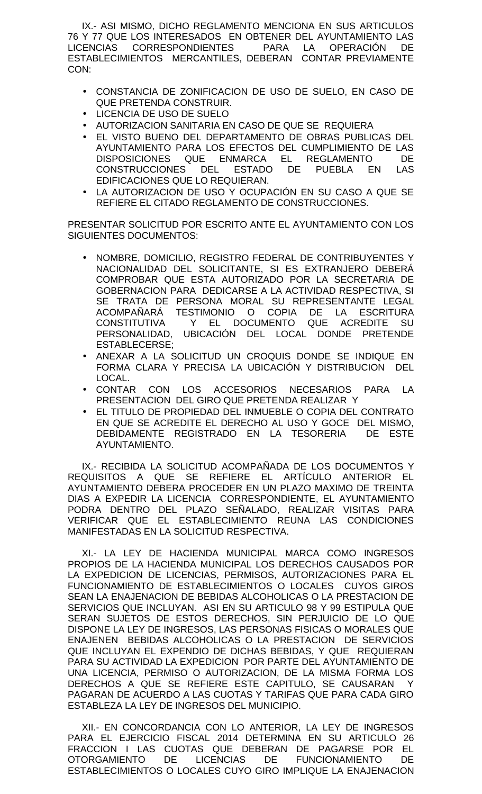IX.- ASI MISMO, DICHO REGLAMENTO MENCIONA EN SUS ARTICULOS 76 Y 77 QUE LOS INTERESADOS EN OBTENER DEL AYUNTAMIENTO LAS LICENCIAS CORRESPONDIENTES PARA LA OPERACIÓN DE ESTABLECIMIENTOS MERCANTILES, DEBERAN CONTAR PREVIAMENTE CON:

- CONSTANCIA DE ZONIFICACION DE USO DE SUELO, EN CASO DE QUE PRETENDA CONSTRUIR.
- LICENCIA DE USO DE SUELO
- AUTORIZACION SANITARIA EN CASO DE QUE SE REQUIERA
- EL VISTO BUENO DEL DEPARTAMENTO DE OBRAS PUBLICAS DEL AYUNTAMIENTO PARA LOS EFECTOS DEL CUMPLIMIENTO DE LAS DISPOSICIONES QUE ENMARCA EL REGLAMENTO DE CONSTRUCCIONES DEL ESTADO DE PUEBLA EN LAS EDIFICACIONES QUE LO REQUIERAN.
- LA AUTORIZACION DE USO Y OCUPACIÓN EN SU CASO A QUE SE REFIERE EL CITADO REGLAMENTO DE CONSTRUCCIONES.

PRESENTAR SOLICITUD POR ESCRITO ANTE EL AYUNTAMIENTO CON LOS SIGUIENTES DOCUMENTOS:

- NOMBRE, DOMICILIO, REGISTRO FEDERAL DE CONTRIBUYENTES Y NACIONALIDAD DEL SOLICITANTE, SI ES EXTRANJERO DEBERÁ COMPROBAR QUE ESTA AUTORIZADO POR LA SECRETARIA DE GOBERNACION PARA DEDICARSE A LA ACTIVIDAD RESPECTIVA, SI SE TRATA DE PERSONA MORAL SU REPRESENTANTE LEGAL ACOMPAÑARÁ TESTIMONIO O COPIA DE LA ESCRITURA CONSTITUTIVA Y EL DOCUMENTO QUE ACREDITE SU PERSONALIDAD, UBICACIÓN DEL LOCAL DONDE PRETENDE ESTABLECERSE;
- ANEXAR A LA SOLICITUD UN CROQUIS DONDE SE INDIQUE EN FORMA CLARA Y PRECISA LA UBICACIÓN Y DISTRIBUCION DEL LOCAL.
- CONTAR CON LOS ACCESORIOS NECESARIOS PARA LA PRESENTACION DEL GIRO QUE PRETENDA REALIZAR Y
- EL TITULO DE PROPIEDAD DEL INMUEBLE O COPIA DEL CONTRATO EN QUE SE ACREDITE EL DERECHO AL USO Y GOCE DEL MISMO, DEBIDAMENTE REGISTRADO EN LA TESORERIA DE ESTE AYUNTAMIENTO.

IX.- RECIBIDA LA SOLICITUD ACOMPAÑADA DE LOS DOCUMENTOS Y REQUISITOS A QUE SE REFIERE EL ARTÍCULO ANTERIOR EL AYUNTAMIENTO DEBERA PROCEDER EN UN PLAZO MAXIMO DE TREINTA DIAS A EXPEDIR LA LICENCIA CORRESPONDIENTE, EL AYUNTAMIENTO PODRA DENTRO DEL PLAZO SEÑALADO, REALIZAR VISITAS PARA VERIFICAR QUE EL ESTABLECIMIENTO REUNA LAS CONDICIONES MANIFESTADAS EN LA SOLICITUD RESPECTIVA.

XI.- LA LEY DE HACIENDA MUNICIPAL MARCA COMO INGRESOS PROPIOS DE LA HACIENDA MUNICIPAL LOS DERECHOS CAUSADOS POR LA EXPEDICION DE LICENCIAS, PERMISOS, AUTORIZACIONES PARA EL FUNCIONAMIENTO DE ESTABLECIMIENTOS O LOCALES CUYOS GIROS SEAN LA ENAJENACION DE BEBIDAS ALCOHOLICAS O LA PRESTACION DE SERVICIOS QUE INCLUYAN. ASI EN SU ARTICULO 98 Y 99 ESTIPULA QUE SERAN SUJETOS DE ESTOS DERECHOS, SIN PERJUICIO DE LO QUE DISPONE LA LEY DE INGRESOS, LAS PERSONAS FISICAS O MORALES QUE ENAJENEN BEBIDAS ALCOHOLICAS O LA PRESTACION DE SERVICIOS QUE INCLUYAN EL EXPENDIO DE DICHAS BEBIDAS, Y QUE REQUIERAN PARA SU ACTIVIDAD LA EXPEDICION POR PARTE DEL AYUNTAMIENTO DE UNA LICENCIA, PERMISO O AUTORIZACION, DE LA MISMA FORMA LOS DERECHOS A QUE SE REFIERE ESTE CAPITULO, SE CAUSARAN Y PAGARAN DE ACUERDO A LAS CUOTAS Y TARIFAS QUE PARA CADA GIRO ESTABLEZA LA LEY DE INGRESOS DEL MUNICIPIO.

XII.- EN CONCORDANCIA CON LO ANTERIOR, LA LEY DE INGRESOS PARA EL EJERCICIO FISCAL 2014 DETERMINA EN SU ARTICULO 26 FRACCION I LAS CUOTAS QUE DEBERAN DE PAGARSE POR EL OTORGAMIENTO DE LICENCIAS DE FUNCIONAMIENTO DE ESTABLECIMIENTOS O LOCALES CUYO GIRO IMPLIQUE LA ENAJENACION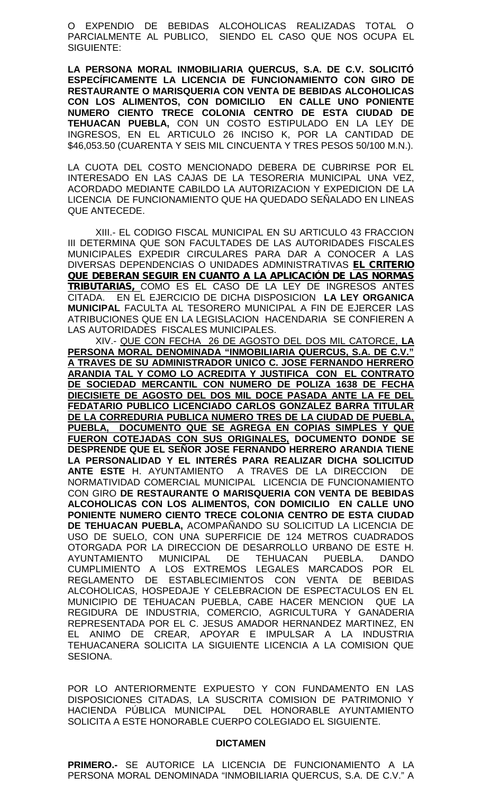O EXPENDIO DE BEBIDAS ALCOHOLICAS REALIZADAS TOTAL O PARCIALMENTE AL PUBLICO, SIENDO EL CASO QUE NOS OCUPA EL SIGUIENTE:

**LA PERSONA MORAL INMOBILIARIA QUERCUS, S.A. DE C.V. SOLICITÓ ESPECÍFICAMENTE LA LICENCIA DE FUNCIONAMIENTO CON GIRO DE RESTAURANTE O MARISQUERIA CON VENTA DE BEBIDAS ALCOHOLICAS CON LOS ALIMENTOS, CON DOMICILIO EN CALLE UNO PONIENTE NUMERO CIENTO TRECE COLONIA CENTRO DE ESTA CIUDAD DE TEHUACAN PUEBLA,** CON UN COSTO ESTIPULADO EN LA LEY DE INGRESOS, EN EL ARTICULO 26 INCISO K, POR LA CANTIDAD DE \$46,053.50 (CUARENTA Y SEIS MIL CINCUENTA Y TRES PESOS 50/100 M.N.).

LA CUOTA DEL COSTO MENCIONADO DEBERA DE CUBRIRSE POR EL INTERESADO EN LAS CAJAS DE LA TESORERIA MUNICIPAL UNA VEZ, ACORDADO MEDIANTE CABILDO LA AUTORIZACION Y EXPEDICION DE LA LICENCIA DE FUNCIONAMIENTO QUE HA QUEDADO SEÑALADO EN LINEAS QUE ANTECEDE.

XIII.- EL CODIGO FISCAL MUNICIPAL EN SU ARTICULO 43 FRACCION III DETERMINA QUE SON FACULTADES DE LAS AUTORIDADES FISCALES MUNICIPALES EXPEDIR CIRCULARES PARA DAR A CONOCER A LAS DIVERSAS DEPENDENCIAS O UNIDADES ADMINISTRATIVAS *EL CRITERIO QUE DEBERAN SEGUIR EN CUANTO A LA APLICACIÓN DE LAS NORMAS TRIBUTARIAS,* COMO ES EL CASO DE LA LEY DE INGRESOS ANTES CITADA. EN EL EJERCICIO DE DICHA DISPOSICION **LA LEY ORGANICA MUNICIPAL** FACULTA AL TESORERO MUNICIPAL A FIN DE EJERCER LAS ATRIBUCIONES QUE EN LA LEGISLACION HACENDARIA SE CONFIEREN A LAS AUTORIDADES FISCALES MUNICIPALES.

XIV.- QUE CON FECHA 26 DE AGOSTO DEL DOS MIL CATORCE, **LA PERSONA MORAL DENOMINADA "INMOBILIARIA QUERCUS, S.A. DE C.V." A TRAVES DE SU ADMINISTRADOR UNICO C. JOSE FERNANDO HERRERO ARANDIA TAL Y COMO LO ACREDITA Y JUSTIFICA CON EL CONTRATO DE SOCIEDAD MERCANTIL CON NUMERO DE POLIZA 1638 DE FECHA DIECISIETE DE AGOSTO DEL DOS MIL DOCE PASADA ANTE LA FE DEL FEDATARIO PUBLICO LICENCIADO CARLOS GONZALEZ BARRA TITULAR DE LA CORREDURIA PUBLICA NUMERO TRES DE LA CIUDAD DE PUEBLA, PUEBLA, DOCUMENTO QUE SE AGREGA EN COPIAS SIMPLES Y QUE FUERON COTEJADAS CON SUS ORIGINALES, DOCUMENTO DONDE SE DESPRENDE QUE EL SEÑOR JOSE FERNANDO HERRERO ARANDIA TIENE LA PERSONALIDAD Y EL INTERÉS PARA REALIZAR DICHA SOLICITUD ANTE ESTE** H. AYUNTAMIENTO A TRAVES DE LA DIRECCION DE NORMATIVIDAD COMERCIAL MUNICIPAL LICENCIA DE FUNCIONAMIENTO CON GIRO **DE RESTAURANTE O MARISQUERIA CON VENTA DE BEBIDAS ALCOHOLICAS CON LOS ALIMENTOS, CON DOMICILIO EN CALLE UNO PONIENTE NUMERO CIENTO TRECE COLONIA CENTRO DE ESTA CIUDAD DE TEHUACAN PUEBLA,** ACOMPAÑANDO SU SOLICITUD LA LICENCIA DE USO DE SUELO, CON UNA SUPERFICIE DE 124 METROS CUADRADOS OTORGADA POR LA DIRECCION DE DESARROLLO URBANO DE ESTE H. AYUNTAMIENTO MUNICIPAL DE TEHUACAN PUEBLA. DANDO CUMPLIMIENTO A LOS EXTREMOS LEGALES MARCADOS POR EL REGLAMENTO DE ESTABLECIMIENTOS CON VENTA DE BEBIDAS ALCOHOLICAS, HOSPEDAJE Y CELEBRACION DE ESPECTACULOS EN EL MUNICIPIO DE TEHUACAN PUEBLA, CABE HACER MENCION QUE LA REGIDURA DE INDUSTRIA, COMERCIO, AGRICULTURA Y GANADERIA REPRESENTADA POR EL C. JESUS AMADOR HERNANDEZ MARTINEZ, EN EL ANIMO DE CREAR, APOYAR E IMPULSAR A LA INDUSTRIA TEHUACANERA SOLICITA LA SIGUIENTE LICENCIA A LA COMISION QUE SESIONA.

POR LO ANTERIORMENTE EXPUESTO Y CON FUNDAMENTO EN LAS DISPOSICIONES CITADAS, LA SUSCRITA COMISION DE PATRIMONIO Y HACIENDA PÚBLICA MUNICIPAL DEL HONORABLE AYUNTAMIENTO SOLICITA A ESTE HONORABLE CUERPO COLEGIADO EL SIGUIENTE.

#### **DICTAMEN**

**PRIMERO.-** SE AUTORICE LA LICENCIA DE FUNCIONAMIENTO A LA PERSONA MORAL DENOMINADA "INMOBILIARIA QUERCUS, S.A. DE C.V." A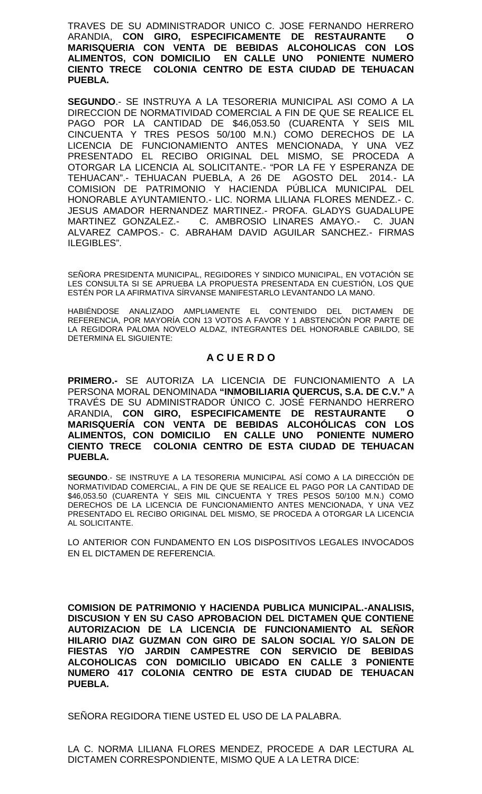TRAVES DE SU ADMINISTRADOR UNICO C. JOSE FERNANDO HERRERO ARANDIA, **CON GIRO, ESPECIFICAMENTE DE RESTAURANTE O MARISQUERIA CON VENTA DE BEBIDAS ALCOHOLICAS CON ALIMENTOS, CON DOMICILIO EN CALLE UNO PONIENTE NUMERO CIENTO TRECE COLONIA CENTRO DE ESTA CIUDAD DE TEHUACAN PUEBLA.**

**SEGUNDO**.- SE INSTRUYA A LA TESORERIA MUNICIPAL ASI COMO A LA DIRECCION DE NORMATIVIDAD COMERCIAL A FIN DE QUE SE REALICE EL PAGO POR LA CANTIDAD DE \$46,053.50 (CUARENTA Y SEIS MIL CINCUENTA Y TRES PESOS 50/100 M.N.) COMO DERECHOS DE LA LICENCIA DE FUNCIONAMIENTO ANTES MENCIONADA, Y UNA VEZ PRESENTADO EL RECIBO ORIGINAL DEL MISMO, SE PROCEDA A OTORGAR LA LICENCIA AL SOLICITANTE.- "POR LA FE Y ESPERANZA DE TEHUACAN".- TEHUACAN PUEBLA, A 26 DE AGOSTO DEL 2014.- LA COMISION DE PATRIMONIO Y HACIENDA PÚBLICA MUNICIPAL DEL HONORABLE AYUNTAMIENTO.- LIC. NORMA LILIANA FLORES MENDEZ.- C. JESUS AMADOR HERNANDEZ MARTINEZ.- PROFA. GLADYS GUADALUPE MARTINEZ GONZALEZ.- C. AMBROSIO LINARES AMAYO.- C. JUAN ALVAREZ CAMPOS.- C. ABRAHAM DAVID AGUILAR SANCHEZ.- FIRMAS ILEGIBLES".

SEÑORA PRESIDENTA MUNICIPAL, REGIDORES Y SINDICO MUNICIPAL, EN VOTACIÓN SE LES CONSULTA SI SE APRUEBA LA PROPUESTA PRESENTADA EN CUESTIÓN, LOS QUE ESTÉN POR LA AFIRMATIVA SÍRVANSE MANIFESTARLO LEVANTANDO LA MANO.

HABIÉNDOSE ANALIZADO AMPLIAMENTE EL CONTENIDO DEL DICTAMEN DE REFERENCIA, POR MAYORÍA CON 13 VOTOS A FAVOR Y 1 ABSTENCIÓN POR PARTE DE LA REGIDORA PALOMA NOVELO ALDAZ, INTEGRANTES DEL HONORABLE CABILDO, SE DETERMINA EL SIGUIENTE:

# **A C U E R D O**

**PRIMERO.-** SE AUTORIZA LA LICENCIA DE FUNCIONAMIENTO A LA PERSONA MORAL DENOMINADA **"INMOBILIARIA QUERCUS, S.A. DE C.V."** A TRAVÉS DE SU ADMINISTRADOR ÚNICO C. JOSÉ FERNANDO HERRERO ARANDIA, **CON GIRO, ESPECIFICAMENTE DE RESTAURANTE O MARISQUERÍA CON VENTA DE BEBIDAS ALCOHÓLICAS CON LOS ALIMENTOS, CON DOMICILIO EN CALLE UNO PONIENTE NUMERO CIENTO TRECE COLONIA CENTRO DE ESTA CIUDAD DE TEHUACAN PUEBLA.**

**SEGUNDO**.- SE INSTRUYE A LA TESORERIA MUNICIPAL ASÍ COMO A LA DIRECCIÓN DE NORMATIVIDAD COMERCIAL, A FIN DE QUE SE REALICE EL PAGO POR LA CANTIDAD DE \$46,053.50 (CUARENTA Y SEIS MIL CINCUENTA Y TRES PESOS 50/100 M.N.) COMO DERECHOS DE LA LICENCIA DE FUNCIONAMIENTO ANTES MENCIONADA, Y UNA VEZ PRESENTADO EL RECIBO ORIGINAL DEL MISMO, SE PROCEDA A OTORGAR LA LICENCIA AL SOLICITANTE.

LO ANTERIOR CON FUNDAMENTO EN LOS DISPOSITIVOS LEGALES INVOCADOS EN EL DICTAMEN DE REFERENCIA.

**COMISION DE PATRIMONIO Y HACIENDA PUBLICA MUNICIPAL.-ANALISIS, DISCUSION Y EN SU CASO APROBACION DEL DICTAMEN QUE CONTIENE AUTORIZACION DE LA LICENCIA DE FUNCIONAMIENTO AL SEÑOR HILARIO DIAZ GUZMAN CON GIRO DE SALON SOCIAL Y/O SALON DE FIESTAS Y/O JARDIN CAMPESTRE CON SERVICIO DE BEBIDAS ALCOHOLICAS CON DOMICILIO UBICADO EN CALLE 3 PONIENTE NUMERO 417 COLONIA CENTRO DE ESTA CIUDAD DE TEHUACAN PUEBLA.**

SENORA REGIDORA TIENE USTED EL USO DE LA PALABRA.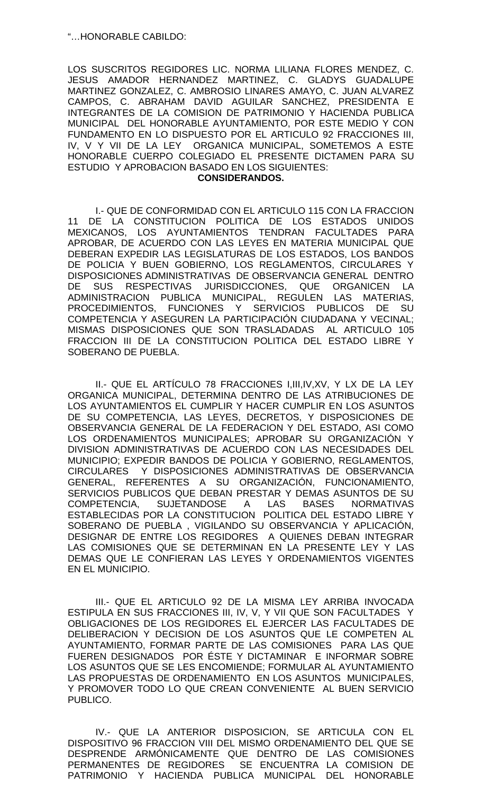LOS SUSCRITOS REGIDORES LIC. NORMA LILIANA FLORES MENDEZ, C. JESUS AMADOR HERNANDEZ MARTINEZ, C. GLADYS GUADALUPE MARTINEZ GONZALEZ, C. AMBROSIO LINARES AMAYO, C. JUAN ALVAREZ CAMPOS, C. ABRAHAM DAVID AGUILAR SANCHEZ, PRESIDENTA E INTEGRANTES DE LA COMISION DE PATRIMONIO Y HACIENDA PUBLICA MUNICIPAL DEL HONORABLE AYUNTAMIENTO, POR ESTE MEDIO Y CON FUNDAMENTO EN LO DISPUESTO POR EL ARTICULO 92 FRACCIONES III, IV, V Y VII DE LA LEY ORGANICA MUNICIPAL, SOMETEMOS A ESTE HONORABLE CUERPO COLEGIADO EL PRESENTE DICTAMEN PARA SU ESTUDIO Y APROBACION BASADO EN LOS SIGUIENTES:

### **CONSIDERANDOS.**

I.- QUE DE CONFORMIDAD CON EL ARTICULO 115 CON LA FRACCION 11 DE LA CONSTITUCION POLITICA DE LOS ESTADOS UNIDOS MEXICANOS, LOS AYUNTAMIENTOS TENDRAN FACULTADES PARA APROBAR, DE ACUERDO CON LAS LEYES EN MATERIA MUNICIPAL QUE DEBERAN EXPEDIR LAS LEGISLATURAS DE LOS ESTADOS, LOS BANDOS DE POLICIA Y BUEN GOBIERNO, LOS REGLAMENTOS, CIRCULARES Y DISPOSICIONES ADMINISTRATIVAS DE OBSERVANCIA GENERAL DENTRO DE SUS RESPECTIVAS JURISDICCIONES, QUE ORGANICEN LA ADMINISTRACION PUBLICA MUNICIPAL, REGULEN LAS MATERIAS, PROCEDIMIENTOS, FUNCIONES Y SERVICIOS PUBLICOS DE SU COMPETENCIA Y ASEGUREN LA PARTICIPACIÓN CIUDADANA Y VECINAL; MISMAS DISPOSICIONES QUE SON TRASLADADAS AL ARTICULO 105 FRACCION III DE LA CONSTITUCION POLITICA DEL ESTADO LIBRE Y SOBERANO DE PUEBLA.

II.- QUE EL ARTÍCULO 78 FRACCIONES I,III,IV,XV, Y LX DE LA LEY ORGANICA MUNICIPAL, DETERMINA DENTRO DE LAS ATRIBUCIONES DE LOS AYUNTAMIENTOS EL CUMPLIR Y HACER CUMPLIR EN LOS ASUNTOS DE SU COMPETENCIA, LAS LEYES, DECRETOS, Y DISPOSICIONES DE OBSERVANCIA GENERAL DE LA FEDERACION Y DEL ESTADO, ASI COMO LOS ORDENAMIENTOS MUNICIPALES; APROBAR SU ORGANIZACIÓN Y DIVISION ADMINISTRATIVAS DE ACUERDO CON LAS NECESIDADES DEL MUNICIPIO; EXPEDIR BANDOS DE POLICIA Y GOBIERNO, REGLAMENTOS, CIRCULARES Y DISPOSICIONES ADMINISTRATIVAS DE OBSERVANCIA GENERAL, REFERENTES A SU ORGANIZACIÓN, FUNCIONAMIENTO, SERVICIOS PUBLICOS QUE DEBAN PRESTAR Y DEMAS ASUNTOS DE SU<br>COMPETENCIA, SUJETANDOSE A LAS BASES NORMATIVAS COMPETENCIA, SUJETANDOSE A LAS BASES NORMATIVAS ESTABLECIDAS POR LA CONSTITUCION POLITICA DEL ESTADO LIBRE Y SOBERANO DE PUEBLA , VIGILANDO SU OBSERVANCIA Y APLICACIÓN, DESIGNAR DE ENTRE LOS REGIDORES A QUIENES DEBAN INTEGRAR LAS COMISIONES QUE SE DETERMINAN EN LA PRESENTE LEY Y LAS DEMAS QUE LE CONFIERAN LAS LEYES Y ORDENAMIENTOS VIGENTES EN EL MUNICIPIO.

III.- QUE EL ARTICULO 92 DE LA MISMA LEY ARRIBA INVOCADA ESTIPULA EN SUS FRACCIONES III, IV, V, Y VII QUE SON FACULTADES Y OBLIGACIONES DE LOS REGIDORES EL EJERCER LAS FACULTADES DE DELIBERACION Y DECISION DE LOS ASUNTOS QUE LE COMPETEN AL AYUNTAMIENTO, FORMAR PARTE DE LAS COMISIONES PARA LAS QUE FUEREN DESIGNADOS POR ÉSTE Y DICTAMINAR E INFORMAR SOBRE LOS ASUNTOS QUE SE LES ENCOMIENDE; FORMULAR AL AYUNTAMIENTO LAS PROPUESTAS DE ORDENAMIENTO EN LOS ASUNTOS MUNICIPALES, Y PROMOVER TODO LO QUE CREAN CONVENIENTE AL BUEN SERVICIO PUBLICO.

IV.- QUE LA ANTERIOR DISPOSICION, SE ARTICULA CON EL DISPOSITIVO 96 FRACCION VIII DEL MISMO ORDENAMIENTO DEL QUE SE DESPRENDE ARMÓNICAMENTE QUE DENTRO DE LAS COMISIONES PERMANENTES DE REGIDORES SE ENCUENTRA LA COMISION DE PATRIMONIO Y HACIENDA PUBLICA MUNICIPAL DEL HONORABLE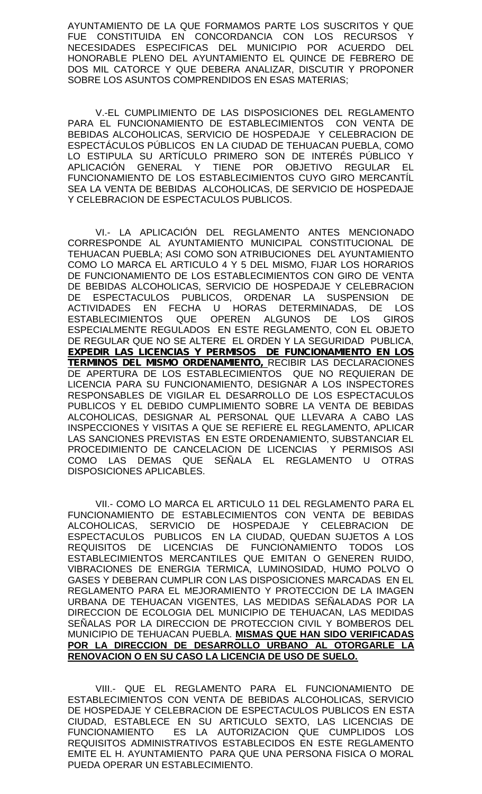AYUNTAMIENTO DE LA QUE FORMAMOS PARTE LOS SUSCRITOS Y QUE FUE CONSTITUIDA EN CONCORDANCIA CON LOS RECURSOS Y NECESIDADES ESPECIFICAS DEL MUNICIPIO POR ACUERDO DEL HONORABLE PLENO DEL AYUNTAMIENTO EL QUINCE DE FEBRERO DE DOS MIL CATORCE Y QUE DEBERA ANALIZAR, DISCUTIR Y PROPONER SOBRE LOS ASUNTOS COMPRENDIDOS EN ESAS MATERIAS;

V.-EL CUMPLIMIENTO DE LAS DISPOSICIONES DEL REGLAMENTO PARA EL FUNCIONAMIENTO DE ESTABLECIMIENTOS CON VENTA DE BEBIDAS ALCOHOLICAS, SERVICIO DE HOSPEDAJE Y CELEBRACION DE ESPECTÁCULOS PÚBLICOS EN LA CIUDAD DE TEHUACAN PUEBLA, COMO LO ESTIPULA SU ARTÍCULO PRIMERO SON DE INTERÉS PÚBLICO Y APLICACIÓN GENERAL Y TIENE POR OBJETIVO REGULAR EL FUNCIONAMIENTO DE LOS ESTABLECIMIENTOS CUYO GIRO MERCANTÍL SEA LA VENTA DE BEBIDAS ALCOHOLICAS, DE SERVICIO DE HOSPEDAJE Y CELEBRACION DE ESPECTACULOS PUBLICOS.

VI.- LA APLICACIÓN DEL REGLAMENTO ANTES MENCIONADO CORRESPONDE AL AYUNTAMIENTO MUNICIPAL CONSTITUCIONAL DE TEHUACAN PUEBLA; ASI COMO SON ATRIBUCIONES DEL AYUNTAMIENTO COMO LO MARCA EL ARTICULO 4 Y 5 DEL MISMO, FIJAR LOS HORARIOS DE FUNCIONAMIENTO DE LOS ESTABLECIMIENTOS CON GIRO DE VENTA DE BEBIDAS ALCOHOLICAS, SERVICIO DE HOSPEDAJE Y CELEBRACION DE ESPECTACULOS PUBLICOS, ORDENAR LA SUSPENSION DE ACTIVIDADES EN FECHA U HORAS DETERMINADAS, DE LOS ESTABLECIMIENTOS QUE OPEREN ALGUNOS DE LOS GIROS ESPECIALMENTE REGULADOS EN ESTE REGLAMENTO, CON EL OBJETO DE REGULAR QUE NO SE ALTERE EL ORDEN Y LA SEGURIDAD PUBLICA, *EXPEDIR LAS LICENCIAS Y PERMISOS DE FUNCIONAMIENTO EN LOS TERMINOS DEL MISMO ORDENAMIENTO,* RECIBIR LAS DECLARACIONES DE APERTURA DE LOS ESTABLECIMIENTOS QUE NO REQUIERAN DE LICENCIA PARA SU FUNCIONAMIENTO, DESIGNAR A LOS INSPECTORES RESPONSABLES DE VIGILAR EL DESARROLLO DE LOS ESPECTACULOS PUBLICOS Y EL DEBIDO CUMPLIMIENTO SOBRE LA VENTA DE BEBIDAS ALCOHOLICAS, DESIGNAR AL PERSONAL QUE LLEVARA A CABO LAS INSPECCIONES Y VISITAS A QUE SE REFIERE EL REGLAMENTO, APLICAR LAS SANCIONES PREVISTAS EN ESTE ORDENAMIENTO, SUBSTANCIAR EL PROCEDIMIENTO DE CANCELACION DE LICENCIAS Y PERMISOS ASI COMO LAS DEMAS QUE SEÑALA EL REGLAMENTO U OTRAS DISPOSICIONES APLICABLES.

VII.- COMO LO MARCA EL ARTICULO 11 DEL REGLAMENTO PARA EL FUNCIONAMIENTO DE ESTABLECIMIENTOS CON VENTA DE BEBIDAS ALCOHOLICAS, SERVICIO DE HOSPEDAJE Y CELEBRACION DE ESPECTACULOS PUBLICOS EN LA CIUDAD, QUEDAN SUJETOS A LOS<br>REQUISITOS DE LICENCIAS DE FUNCIONAMIENTO TODOS LOS REQUISITOS DE LICENCIAS DE FUNCIONAMIENTO TODOS LOS ESTABLECIMIENTOS MERCANTILES QUE EMITAN O GENEREN RUIDO, VIBRACIONES DE ENERGIA TERMICA, LUMINOSIDAD, HUMO POLVO O GASES Y DEBERAN CUMPLIR CON LAS DISPOSICIONES MARCADAS EN EL REGLAMENTO PARA EL MEJORAMIENTO Y PROTECCION DE LA IMAGEN URBANA DE TEHUACAN VIGENTES, LAS MEDIDAS SEÑALADAS POR LA DIRECCION DE ECOLOGIA DEL MUNICIPIO DE TEHUACAN, LAS MEDIDAS SEÑALAS POR LA DIRECCION DE PROTECCION CIVIL Y BOMBEROS DEL MUNICIPIO DE TEHUACAN PUEBLA. **MISMAS QUE HAN SIDO VERIFICADAS POR LA DIRECCION DE DESARROLLO URBANO AL OTORGARLE LA RENOVACION O EN SU CASO LA LICENCIA DE USO DE SUELO.**

VIII.- QUE EL REGLAMENTO PARA EL FUNCIONAMIENTO DE ESTABLECIMIENTOS CON VENTA DE BEBIDAS ALCOHOLICAS, SERVICIO DE HOSPEDAJE Y CELEBRACION DE ESPECTACULOS PUBLICOS EN ESTA CIUDAD, ESTABLECE EN SU ARTICULO SEXTO, LAS LICENCIAS DE FUNCIONAMIENTO ES LA AUTORIZACION QUE CUMPLIDOS LOS REQUISITOS ADMINISTRATIVOS ESTABLECIDOS EN ESTE REGLAMENTO EMITE EL H. AYUNTAMIENTO PARA QUE UNA PERSONA FISICA O MORAL PUEDA OPERAR UN ESTABLECIMIENTO.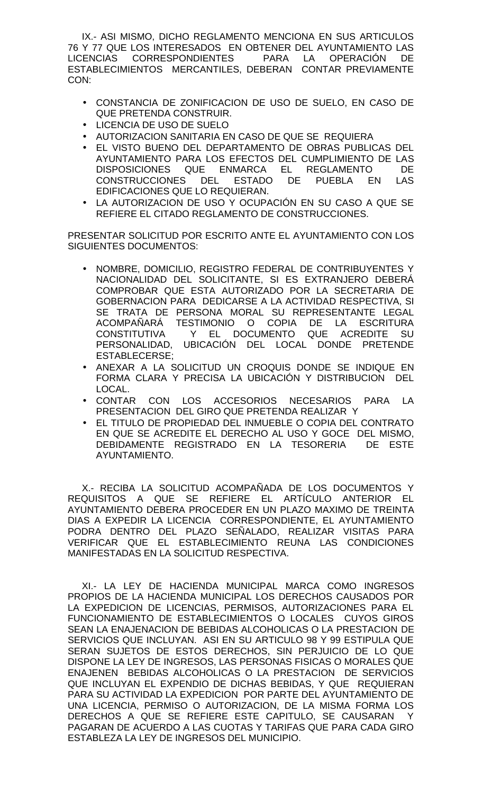IX.- ASI MISMO, DICHO REGLAMENTO MENCIONA EN SUS ARTICULOS 76 Y 77 QUE LOS INTERESADOS EN OBTENER DEL AYUNTAMIENTO LAS LICENCIAS CORRESPONDIENTES PARA LA OPERACIÓN DE ESTABLECIMIENTOS MERCANTILES, DEBERAN CONTAR PREVIAMENTE CON:

- CONSTANCIA DE ZONIFICACION DE USO DE SUELO, EN CASO DE QUE PRETENDA CONSTRUIR.
- LICENCIA DE USO DE SUELO
- AUTORIZACION SANITARIA EN CASO DE QUE SE REQUIERA
- EL VISTO BUENO DEL DEPARTAMENTO DE OBRAS PUBLICAS DEL AYUNTAMIENTO PARA LOS EFECTOS DEL CUMPLIMIENTO DE LAS DISPOSICIONES QUE ENMARCA EL REGLAMENTO DE CONSTRUCCIONES DEL ESTADO DE PUEBLA EN LAS EDIFICACIONES QUE LO REQUIERAN.
- LA AUTORIZACION DE USO Y OCUPACIÓN EN SU CASO A QUE SE REFIERE EL CITADO REGLAMENTO DE CONSTRUCCIONES.

PRESENTAR SOLICITUD POR ESCRITO ANTE EL AYUNTAMIENTO CON LOS SIGUIENTES DOCUMENTOS:

- NOMBRE, DOMICILIO, REGISTRO FEDERAL DE CONTRIBUYENTES Y NACIONALIDAD DEL SOLICITANTE, SI ES EXTRANJERO DEBERÁ COMPROBAR QUE ESTA AUTORIZADO POR LA SECRETARIA DE GOBERNACION PARA DEDICARSE A LA ACTIVIDAD RESPECTIVA, SI SE TRATA DE PERSONA MORAL SU REPRESENTANTE LEGAL ACOMPAÑARÁ TESTIMONIO O COPIA DE LA ESCRITURA<br>CONSTITUTIVA - Y EL DOCUMENTO QUE ACREDITE SU CONSTITUTIVA Y EL DOCUMENTO QUE ACREDITE SU PERSONALIDAD, UBICACIÓN DEL LOCAL DONDE PRETENDE ESTABLECERSE;
- ANEXAR A LA SOLICITUD UN CROQUIS DONDE SE INDIQUE EN FORMA CLARA Y PRECISA LA UBICACIÓN Y DISTRIBUCION DEL LOCAL.
- CONTAR CON LOS ACCESORIOS NECESARIOS PARA LA PRESENTACION DEL GIRO QUE PRETENDA REALIZAR Y
- EL TITULO DE PROPIEDAD DEL INMUEBLE O COPIA DEL CONTRATO EN QUE SE ACREDITE EL DERECHO AL USO Y GOCE DEL MISMO, DEBIDAMENTE REGISTRADO EN LA TESORERIA DE ESTE AYUNTAMIENTO.

X.- RECIBA LA SOLICITUD ACOMPAÑADA DE LOS DOCUMENTOS Y REQUISITOS A QUE SE REFIERE EL ARTÍCULO ANTERIOR EL AYUNTAMIENTO DEBERA PROCEDER EN UN PLAZO MAXIMO DE TREINTA DIAS A EXPEDIR LA LICENCIA CORRESPONDIENTE, EL AYUNTAMIENTO PODRA DENTRO DEL PLAZO SEÑALADO, REALIZAR VISITAS PARA VERIFICAR QUE EL ESTABLECIMIENTO REUNA LAS CONDICIONES MANIFESTADAS EN LA SOLICITUD RESPECTIVA.

XI.- LA LEY DE HACIENDA MUNICIPAL MARCA COMO INGRESOS PROPIOS DE LA HACIENDA MUNICIPAL LOS DERECHOS CAUSADOS POR LA EXPEDICION DE LICENCIAS, PERMISOS, AUTORIZACIONES PARA EL FUNCIONAMIENTO DE ESTABLECIMIENTOS O LOCALES CUYOS GIROS SEAN LA ENAJENACION DE BEBIDAS ALCOHOLICAS O LA PRESTACION DE SERVICIOS QUE INCLUYAN. ASI EN SU ARTICULO 98 Y 99 ESTIPULA QUE SERAN SUJETOS DE ESTOS DERECHOS, SIN PERJUICIO DE LO QUE DISPONE LA LEY DE INGRESOS, LAS PERSONAS FISICAS O MORALES QUE ENAJENEN BEBIDAS ALCOHOLICAS O LA PRESTACION DE SERVICIOS QUE INCLUYAN EL EXPENDIO DE DICHAS BEBIDAS, Y QUE REQUIERAN PARA SU ACTIVIDAD LA EXPEDICION POR PARTE DEL AYUNTAMIENTO DE UNA LICENCIA, PERMISO O AUTORIZACION, DE LA MISMA FORMA LOS DERECHOS A QUE SE REFIERE ESTE CAPITULO, SE CAUSARAN Y PAGARAN DE ACUERDO A LAS CUOTAS Y TARIFAS QUE PARA CADA GIRO ESTABLEZA LA LEY DE INGRESOS DEL MUNICIPIO.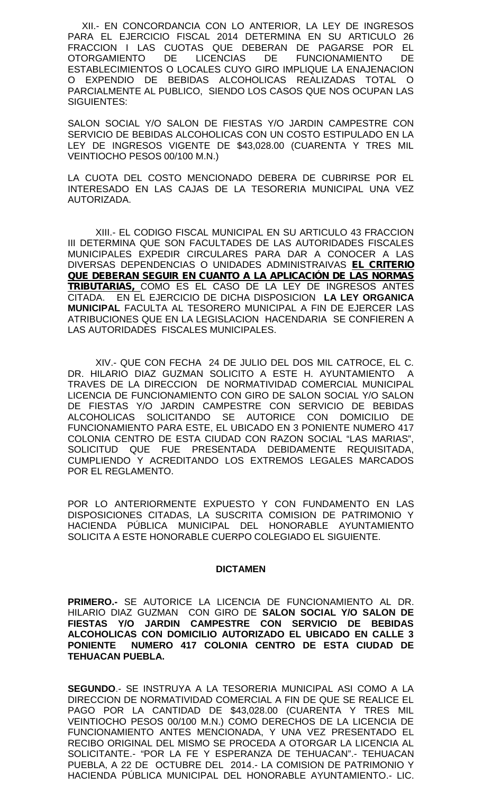XII.- EN CONCORDANCIA CON LO ANTERIOR, LA LEY DE INGRESOS PARA EL EJERCICIO FISCAL 2014 DETERMINA EN SU ARTICULO 26 FRACCION I LAS CUOTAS QUE DEBERAN DE PAGARSE POR EL OTORGAMIENTO DE LICENCIAS DE FUNCIONAMIENTO DE ESTABLECIMIENTOS O LOCALES CUYO GIRO IMPLIQUE LA ENAJENACION O EXPENDIO DE BEBIDAS ALCOHOLICAS REALIZADAS TOTAL O PARCIALMENTE AL PUBLICO, SIENDO LOS CASOS QUE NOS OCUPAN LAS SIGUIENTES:

SALON SOCIAL Y/O SALON DE FIESTAS Y/O JARDIN CAMPESTRE CON SERVICIO DE BEBIDAS ALCOHOLICAS CON UN COSTO ESTIPULADO EN LA LEY DE INGRESOS VIGENTE DE \$43,028.00 (CUARENTA Y TRES MIL VEINTIOCHO PESOS 00/100 M.N.)

LA CUOTA DEL COSTO MENCIONADO DEBERA DE CUBRIRSE POR EL INTERESADO EN LAS CAJAS DE LA TESORERIA MUNICIPAL UNA VEZ AUTORIZADA.

XIII.- EL CODIGO FISCAL MUNICIPAL EN SU ARTICULO 43 FRACCION III DETERMINA QUE SON FACULTADES DE LAS AUTORIDADES FISCALES MUNICIPALES EXPEDIR CIRCULARES PARA DAR A CONOCER A LAS DIVERSAS DEPENDENCIAS O UNIDADES ADMINISTRAIVAS *EL CRITERIO QUE DEBERAN SEGUIR EN CUANTO A LA APLICACIÓN DE LAS NORMAS TRIBUTARIAS,* COMO ES EL CASO DE LA LEY DE INGRESOS ANTES CITADA. EN EL EJERCICIO DE DICHA DISPOSICION **LA LEY ORGANICA MUNICIPAL** FACULTA AL TESORERO MUNICIPAL A FIN DE EJERCER LAS ATRIBUCIONES QUE EN LA LEGISLACION HACENDARIA SE CONFIEREN A LAS AUTORIDADES FISCALES MUNICIPALES.

XIV.- QUE CON FECHA 24 DE JULIO DEL DOS MIL CATROCE, EL C. DR. HILARIO DIAZ GUZMAN SOLICITO A ESTE H. AYUNTAMIENTO A TRAVES DE LA DIRECCION DE NORMATIVIDAD COMERCIAL MUNICIPAL LICENCIA DE FUNCIONAMIENTO CON GIRO DE SALON SOCIAL Y/O SALON DE FIESTAS Y/O JARDIN CAMPESTRE CON SERVICIO DE BEBIDAS ALCOHOLICAS SOLICITANDO SE AUTORICE CON DOMICILIO DE FUNCIONAMIENTO PARA ESTE, EL UBICADO EN 3 PONIENTE NUMERO 417 COLONIA CENTRO DE ESTA CIUDAD CON RAZON SOCIAL "LAS MARIAS", SOLICITUD QUE FUE PRESENTADA DEBIDAMENTE REQUISITADA, CUMPLIENDO Y ACREDITANDO LOS EXTREMOS LEGALES MARCADOS POR EL REGLAMENTO.

POR LO ANTERIORMENTE EXPUESTO Y CON FUNDAMENTO EN LAS DISPOSICIONES CITADAS, LA SUSCRITA COMISION DE PATRIMONIO Y HACIENDA PÚBLICA MUNICIPAL DEL HONORABLE AYUNTAMIENTO SOLICITA A ESTE HONORABLE CUERPO COLEGIADO EL SIGUIENTE.

## **DICTAMEN**

**PRIMERO.-** SE AUTORICE LA LICENCIA DE FUNCIONAMIENTO AL DR. HILARIO DIAZ GUZMAN CON GIRO DE **SALON SOCIAL Y/O SALON DE FIESTAS Y/O JARDIN CAMPESTRE CON SERVICIO DE BEBIDAS ALCOHOLICAS CON DOMICILIO AUTORIZADO EL UBICADO EN CALLE 3 PONIENTE NUMERO 417 COLONIA CENTRO DE ESTA CIUDAD DE TEHUACAN PUEBLA.**

**SEGUNDO**.- SE INSTRUYA A LA TESORERIA MUNICIPAL ASI COMO A LA DIRECCION DE NORMATIVIDAD COMERCIAL A FIN DE QUE SE REALICE EL PAGO POR LA CANTIDAD DE \$43,028.00 (CUARENTA Y TRES MIL VEINTIOCHO PESOS 00/100 M.N.) COMO DERECHOS DE LA LICENCIA DE FUNCIONAMIENTO ANTES MENCIONADA, Y UNA VEZ PRESENTADO EL RECIBO ORIGINAL DEL MISMO SE PROCEDA A OTORGAR LA LICENCIA AL SOLICITANTE.- "POR LA FE Y ESPERANZA DE TEHUACAN".- TEHUACAN PUEBLA, A 22 DE OCTUBRE DEL 2014.- LA COMISION DE PATRIMONIO Y HACIENDA PÚBLICA MUNICIPAL DEL HONORABLE AYUNTAMIENTO.- LIC.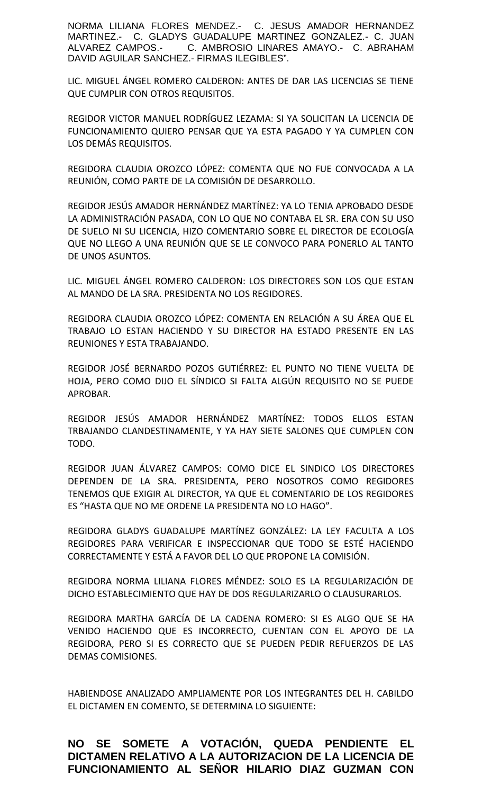NORMA LILIANA FLORES MENDEZ.- C. JESUS AMADOR HERNANDEZ MARTINEZ.- C. GLADYS GUADALUPE MARTINEZ GONZALEZ.- C. JUAN ALVAREZ CAMPOS.- C. AMBROSIO LINARES AMAYO.- C. ABRAHAM DAVID AGUILAR SANCHEZ.- FIRMAS ILEGIBLES".

LIC. MIGUEL ÁNGEL ROMERO CALDERON: ANTES DE DAR LAS LICENCIAS SE TIENE QUE CUMPLIR CON OTROS REQUISITOS.

REGIDOR VICTOR MANUEL RODRÍGUEZ LEZAMA: SI YA SOLICITAN LA LICENCIA DE FUNCIONAMIENTO QUIERO PENSAR QUE YA ESTA PAGADO Y YA CUMPLEN CON LOS DEMÁS REQUISITOS.

REGIDORA CLAUDIA OROZCO LÓPEZ: COMENTA QUE NO FUE CONVOCADA A LA REUNIÓN, COMO PARTE DE LA COMISIÓN DE DESARROLLO.

REGIDOR JESÚS AMADOR HERNÁNDEZ MARTÍNEZ: YA LO TENIA APROBADO DESDE LA ADMINISTRACIÓN PASADA, CON LO QUE NO CONTABA EL SR. ERA CON SU USO DE SUELO NI SU LICENCIA, HIZO COMENTARIO SOBRE EL DIRECTOR DE ECOLOGÍA QUE NO LLEGO A UNA REUNIÓN QUE SE LE CONVOCO PARA PONERLO AL TANTO DE UNOS ASUNTOS.

LIC. MIGUEL ÁNGEL ROMERO CALDERON: LOS DIRECTORES SON LOS QUE ESTAN AL MANDO DE LA SRA. PRESIDENTA NO LOS REGIDORES.

REGIDORA CLAUDIA OROZCO LÓPEZ: COMENTA EN RELACIÓN A SU ÁREA QUE EL TRABAJO LO ESTAN HACIENDO Y SU DIRECTOR HA ESTADO PRESENTE EN LAS REUNIONES Y ESTA TRABAJANDO.

REGIDOR JOSÉ BERNARDO POZOS GUTIÉRREZ: EL PUNTO NO TIENE VUELTA DE HOJA, PERO COMO DIJO EL SÍNDICO SI FALTA ALGÚN REQUISITO NO SE PUEDE APROBAR.

REGIDOR JESÚS AMADOR HERNÁNDEZ MARTÍNEZ: TODOS ELLOS ESTAN TRBAJANDO CLANDESTINAMENTE, Y YA HAY SIETE SALONES QUE CUMPLEN CON TODO.

REGIDOR JUAN ÁLVAREZ CAMPOS: COMO DICE EL SINDICO LOS DIRECTORES DEPENDEN DE LA SRA. PRESIDENTA, PERO NOSOTROS COMO REGIDORES TENEMOS QUE EXIGIR AL DIRECTOR, YA QUE EL COMENTARIO DE LOS REGIDORES ES "HASTA QUE NO ME ORDENE LA PRESIDENTA NO LO HAGO".

REGIDORA GLADYS GUADALUPE MARTÍNEZ GONZÁLEZ: LA LEY FACULTA A LOS REGIDORES PARA VERIFICAR E INSPECCIONAR QUE TODO SE ESTÉ HACIENDO CORRECTAMENTE Y ESTÁ A FAVOR DEL LO QUE PROPONE LA COMISIÓN.

REGIDORA NORMA LILIANA FLORES MÉNDEZ: SOLO ES LA REGULARIZACIÓN DE DICHO ESTABLECIMIENTO QUE HAY DE DOS REGULARIZARLO O CLAUSURARLOS.

REGIDORA MARTHA GARCÍA DE LA CADENA ROMERO: SI ES ALGO QUE SE HA VENIDO HACIENDO QUE ES INCORRECTO, CUENTAN CON EL APOYO DE LA REGIDORA, PERO SI ES CORRECTO QUE SE PUEDEN PEDIR REFUERZOS DE LAS DEMAS COMISIONES.

HABIENDOSE ANALIZADO AMPLIAMENTE POR LOS INTEGRANTES DEL H. CABILDO EL DICTAMEN EN COMENTO, SE DETERMINA LO SIGUIENTE:

**NO SE SOMETE A VOTACIÓN, QUEDA PENDIENTE EL DICTAMEN RELATIVO A LA AUTORIZACION DE LA LICENCIA DE FUNCIONAMIENTO AL SEÑOR HILARIO DIAZ GUZMAN CON**